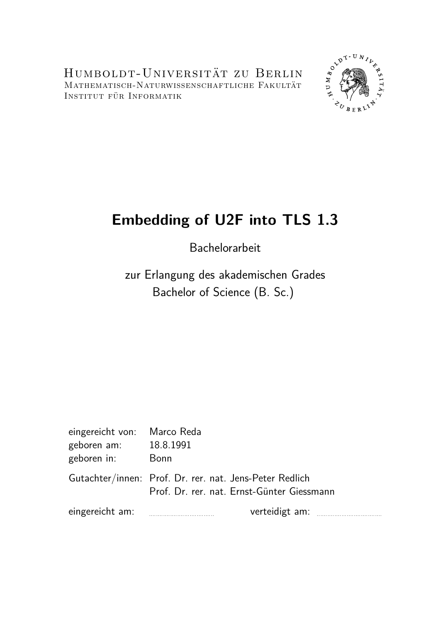Humboldt-Universität zu Berlin Mathematisch-Naturwissenschaftliche Fakultät Institut für Informatik



# **Embedding of U2F into TLS 1.3**

Bachelorarbeit

zur Erlangung des akademischen Grades Bachelor of Science (B. Sc.)

| eingereicht von: Marco Reda |                                                                                                       |
|-----------------------------|-------------------------------------------------------------------------------------------------------|
| geboren am:                 | 18.8.1991                                                                                             |
| geboren in:                 | Bonn                                                                                                  |
|                             | Gutachter/innen: Prof. Dr. rer. nat. Jens-Peter Redlich<br>Prof. Dr. rer. nat. Ernst-Günter Giessmann |
| eingereicht am:             | verteidigt am:                                                                                        |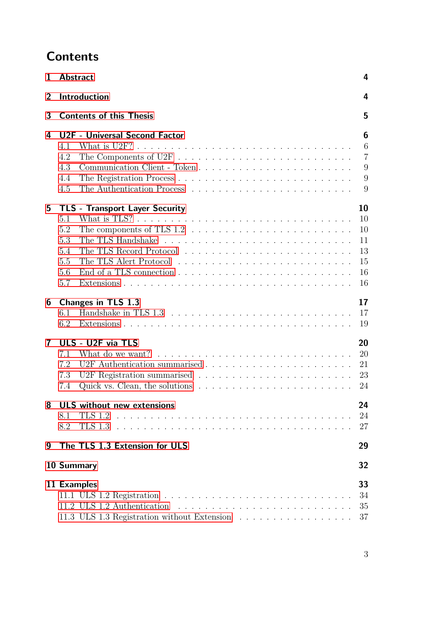# **Contents**

| 1            | <b>Abstract</b>                                                                                                                                                                       | 4                                            |  |  |  |  |  |  |  |  |
|--------------|---------------------------------------------------------------------------------------------------------------------------------------------------------------------------------------|----------------------------------------------|--|--|--|--|--|--|--|--|
| 2            | <b>Introduction</b>                                                                                                                                                                   | 4                                            |  |  |  |  |  |  |  |  |
| 3            | <b>Contents of this Thesis</b><br>5                                                                                                                                                   |                                              |  |  |  |  |  |  |  |  |
| 4            | U2F - Universal Second Factor<br>4.1                                                                                                                                                  | 6<br>6                                       |  |  |  |  |  |  |  |  |
|              | 4.2<br>4.3<br>4.4<br>4.5                                                                                                                                                              | $\overline{7}$<br>9<br>9<br>9                |  |  |  |  |  |  |  |  |
| 5            | <b>TLS - Transport Layer Security</b><br>What is TLS? $\ldots \ldots \ldots \ldots \ldots \ldots \ldots \ldots \ldots \ldots \ldots$<br>5.1<br>5.2<br>5.3<br>5.4<br>5.5<br>5.6<br>5.7 | 10<br>10<br>10<br>11<br>13<br>15<br>16<br>16 |  |  |  |  |  |  |  |  |
| 6            | Changes in TLS 1.3<br>6.1<br>6.2                                                                                                                                                      | 17<br>17<br>19                               |  |  |  |  |  |  |  |  |
| $\mathbf{7}$ | ULS - U2F via TLS<br>7.1<br>7.2<br>7.3<br>Quick vs. Clean, the solutions $\ldots \ldots \ldots \ldots \ldots \ldots \ldots$<br>7.4                                                    | 20<br>20<br>21<br>23<br>24                   |  |  |  |  |  |  |  |  |
| 8            | <b>ULS</b> without new extensions<br>8.1<br>8.2                                                                                                                                       | 24<br>24<br>27                               |  |  |  |  |  |  |  |  |
| 9            | The TLS 1.3 Extension for ULS                                                                                                                                                         | 29                                           |  |  |  |  |  |  |  |  |
|              | 10 Summary                                                                                                                                                                            | 32                                           |  |  |  |  |  |  |  |  |
|              | 11 Examples<br>11.2 ULS 1.2 Authentication<br>11.3 ULS 1.3 Registration without Extension                                                                                             | 33<br>34<br>35<br>37                         |  |  |  |  |  |  |  |  |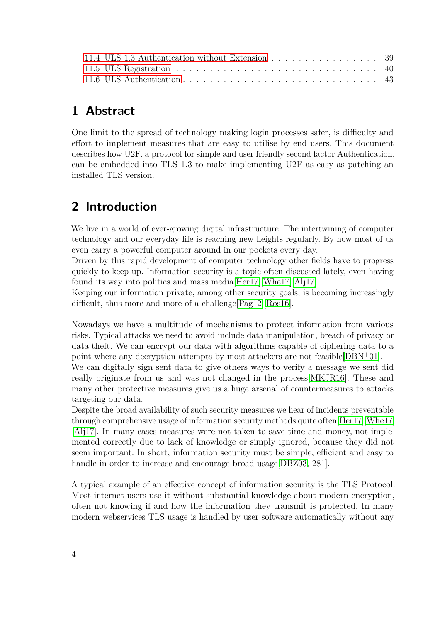| 11.4 ULS 1.3 Authentication without Extension 39 |  |
|--------------------------------------------------|--|
|                                                  |  |
|                                                  |  |

# <span id="page-3-0"></span>**1 Abstract**

One limit to the spread of technology making login processes safer, is difficulty and effort to implement measures that are easy to utilise by end users. This document describes how U2F, a protocol for simple and user friendly second factor Authentication, can be embedded into TLS 1.3 to make implementing U2F as easy as patching an installed TLS version.

# <span id="page-3-1"></span>**2 Introduction**

We live in a world of ever-growing digital infrastructure. The intertwining of computer technology and our everyday life is reaching new heights regularly. By now most of us even carry a powerful computer around in our pockets every day.

Driven by this rapid development of computer technology other fields have to progress quickly to keep up. Information security is a topic often discussed lately, even having found its way into politics and mass media[\[Her17\]](#page-46-0)[\[Whe17\]](#page-47-0)[\[Alj17\]](#page-45-0).

Keeping our information private, among other security goals, is becoming increasingly difficult, thus more and more of a challenge[\[Pag12\]](#page-46-1)[\[Ros16\]](#page-46-2).

Nowadays we have a multitude of mechanisms to protect information from various risks. Typical attacks we need to avoid include data manipulation, breach of privacy or data theft. We can encrypt our data with algorithms capable of ciphering data to a point where any decryption attempts by most attackers are not feasible[\[DBN](#page-45-1)<sup>+</sup>01].

We can digitally sign sent data to give others ways to verify a message we sent did really originate from us and was not changed in the process[\[MKJR16\]](#page-46-3). These and many other protective measures give us a huge arsenal of countermeasures to attacks targeting our data.

Despite the broad availability of such security measures we hear of incidents preventable through comprehensive usage of information security methods quite often[\[Her17\]](#page-46-0)[\[Whe17\]](#page-47-0) [\[Alj17\]](#page-45-0). In many cases measures were not taken to save time and money, not implemented correctly due to lack of knowledge or simply ignored, because they did not seem important. In short, information security must be simple, efficient and easy to handle in order to increase and encourage broad usage [\[DBZ03,](#page-46-4) 281].

A typical example of an effective concept of information security is the TLS Protocol. Most internet users use it without substantial knowledge about modern encryption, often not knowing if and how the information they transmit is protected. In many modern webservices TLS usage is handled by user software automatically without any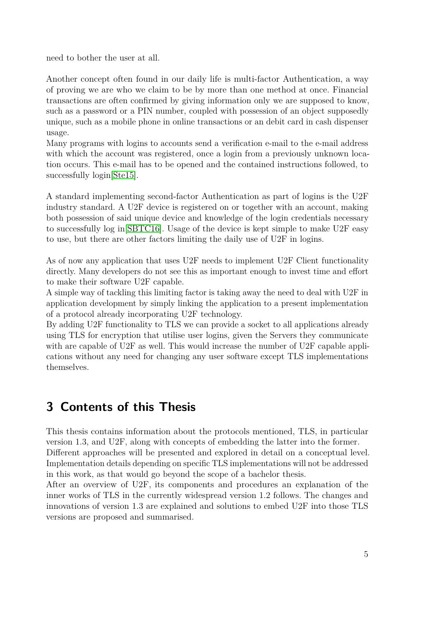need to bother the user at all.

Another concept often found in our daily life is multi-factor Authentication, a way of proving we are who we claim to be by more than one method at once. Financial transactions are often confirmed by giving information only we are supposed to know, such as a password or a PIN number, coupled with possession of an object supposedly unique, such as a mobile phone in online transactions or an debit card in cash dispenser usage.

Many programs with logins to accounts send a verification e-mail to the e-mail address with which the account was registered, once a login from a previously unknown location occurs. This e-mail has to be opened and the contained instructions followed, to successfully login[\[Ste15\]](#page-47-1).

A standard implementing second-factor Authentication as part of logins is the U2F industry standard. A U2F device is registered on or together with an account, making both possession of said unique device and knowledge of the login credentials necessary to successfully log in[\[SBTC16\]](#page-47-2). Usage of the device is kept simple to make U2F easy to use, but there are other factors limiting the daily use of U2F in logins.

As of now any application that uses U2F needs to implement U2F Client functionality directly. Many developers do not see this as important enough to invest time and effort to make their software U2F capable.

A simple way of tackling this limiting factor is taking away the need to deal with U2F in application development by simply linking the application to a present implementation of a protocol already incorporating U2F technology.

By adding U2F functionality to TLS we can provide a socket to all applications already using TLS for encryption that utilise user logins, given the Servers they communicate with are capable of U2F as well. This would increase the number of U2F capable applications without any need for changing any user software except TLS implementations themselves.

## <span id="page-4-0"></span>**3 Contents of this Thesis**

This thesis contains information about the protocols mentioned, TLS, in particular version 1.3, and U2F, along with concepts of embedding the latter into the former. Different approaches will be presented and explored in detail on a conceptual level. Implementation details depending on specific TLS implementations will not be addressed in this work, as that would go beyond the scope of a bachelor thesis.

After an overview of U2F, its components and procedures an explanation of the inner works of TLS in the currently widespread version 1.2 follows. The changes and innovations of version 1.3 are explained and solutions to embed U2F into those TLS versions are proposed and summarised.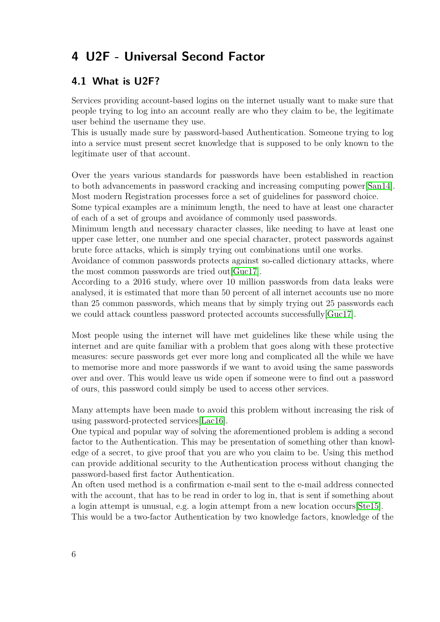# <span id="page-5-0"></span>**4 U2F - Universal Second Factor**

#### <span id="page-5-1"></span>**4.1 What is U2F?**

Services providing account-based logins on the internet usually want to make sure that people trying to log into an account really are who they claim to be, the legitimate user behind the username they use.

This is usually made sure by password-based Authentication. Someone trying to log into a service must present secret knowledge that is supposed to be only known to the legitimate user of that account.

Over the years various standards for passwords have been established in reaction to both advancements in password cracking and increasing computing power[\[San14\]](#page-47-3). Most modern Registration processes force a set of guidelines for password choice.

Some typical examples are a minimum length, the need to have at least one character of each of a set of groups and avoidance of commonly used passwords.

Minimum length and necessary character classes, like needing to have at least one upper case letter, one number and one special character, protect passwords against brute force attacks, which is simply trying out combinations until one works.

Avoidance of common passwords protects against so-called dictionary attacks, where the most common passwords are tried out[\[Guc17\]](#page-46-5).

According to a 2016 study, where over 10 million passwords from data leaks were analysed, it is estimated that more than 50 percent of all internet accounts use no more than 25 common passwords, which means that by simply trying out 25 passwords each we could attack countless password protected accounts successfully [\[Guc17\]](#page-46-5).

Most people using the internet will have met guidelines like these while using the internet and are quite familiar with a problem that goes along with these protective measures: secure passwords get ever more long and complicated all the while we have to memorise more and more passwords if we want to avoid using the same passwords over and over. This would leave us wide open if someone were to find out a password of ours, this password could simply be used to access other services.

Many attempts have been made to avoid this problem without increasing the risk of using password-protected services[\[Lac16\]](#page-46-6).

One typical and popular way of solving the aforementioned problem is adding a second factor to the Authentication. This may be presentation of something other than knowledge of a secret, to give proof that you are who you claim to be. Using this method can provide additional security to the Authentication process without changing the password-based first factor Authentication.

An often used method is a confirmation e-mail sent to the e-mail address connected with the account, that has to be read in order to log in, that is sent if something about a login attempt is unusual, e.g. a login attempt from a new location occurs[\[Ste15\]](#page-47-1).

This would be a two-factor Authentication by two knowledge factors, knowledge of the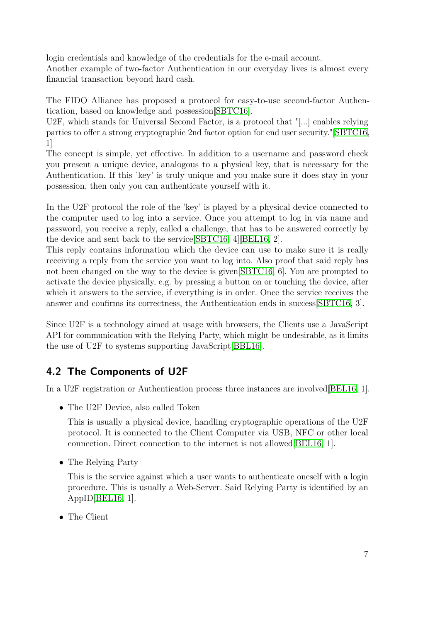login credentials and knowledge of the credentials for the e-mail account. Another example of two-factor Authentication in our everyday lives is almost every financial transaction beyond hard cash.

The FIDO Alliance has proposed a protocol for easy-to-use second-factor Authentication, based on knowledge and possession[\[SBTC16\]](#page-47-2).

U2F, which stands for Universal Second Factor, is a protocol that "[...] enables relying parties to offer a strong cryptographic 2nd factor option for end user security."[\[SBTC16,](#page-47-2) 1]

The concept is simple, yet effective. In addition to a username and password check you present a unique device, analogous to a physical key, that is necessary for the Authentication. If this 'key' is truly unique and you make sure it does stay in your possession, then only you can authenticate yourself with it.

In the U2F protocol the role of the 'key' is played by a physical device connected to the computer used to log into a service. Once you attempt to log in via name and password, you receive a reply, called a challenge, that has to be answered correctly by the device and sent back to the service[\[SBTC16,](#page-47-2) 4][\[BEL16,](#page-45-2) 2].

This reply contains information which the device can use to make sure it is really receiving a reply from the service you want to log into. Also proof that said reply has not been changed on the way to the device is given SBTC16, 6. You are prompted to activate the device physically, e.g. by pressing a button on or touching the device, after which it answers to the service, if everything is in order. Once the service receives the answer and confirms its correctness, the Authentication ends in success[\[SBTC16,](#page-47-2) 3].

Since U2F is a technology aimed at usage with browsers, the Clients use a JavaScript API for communication with the Relying Party, which might be undesirable, as it limits the use of U2F to systems supporting JavaScript[\[BBL16\]](#page-45-3).

### <span id="page-6-0"></span>**4.2 The Components of U2F**

In a U2F registration or Authentication process three instances are involved[\[BEL16,](#page-45-2) 1].

• The U2F Device, also called Token

This is usually a physical device, handling cryptographic operations of the U2F protocol. It is connected to the Client Computer via USB, NFC or other local connection. Direct connection to the internet is not allowed[\[BEL16,](#page-45-2) 1].

• The Relying Party

This is the service against which a user wants to authenticate oneself with a login procedure. This is usually a Web-Server. Said Relying Party is identified by an AppID[\[BEL16,](#page-45-2) 1].

• The Client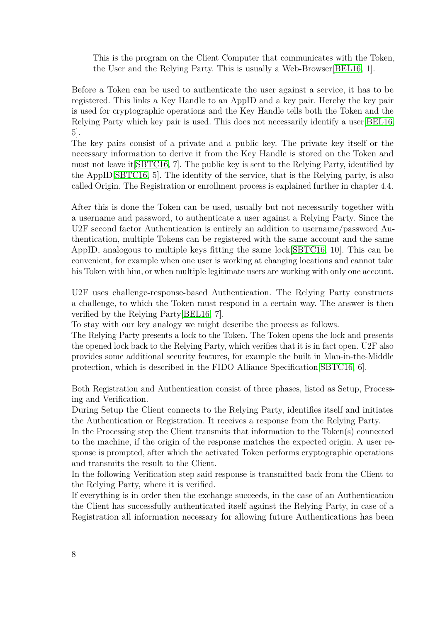This is the program on the Client Computer that communicates with the Token, the User and the Relying Party. This is usually a Web-Browser[\[BEL16,](#page-45-2) 1].

Before a Token can be used to authenticate the user against a service, it has to be registered. This links a Key Handle to an AppID and a key pair. Hereby the key pair is used for cryptographic operations and the Key Handle tells both the Token and the Relying Party which key pair is used. This does not necessarily identify a user[\[BEL16,](#page-45-2) 5].

The key pairs consist of a private and a public key. The private key itself or the necessary information to derive it from the Key Handle is stored on the Token and must not leave it[\[SBTC16,](#page-47-2) 7]. The public key is sent to the Relying Party, identified by the AppID[\[SBTC16,](#page-47-2) 5]. The identity of the service, that is the Relying party, is also called Origin. The Registration or enrollment process is explained further in chapter 4.4.

After this is done the Token can be used, usually but not necessarily together with a username and password, to authenticate a user against a Relying Party. Since the U2F second factor Authentication is entirely an addition to username/password Authentication, multiple Tokens can be registered with the same account and the same AppID, analogous to multiple keys fitting the same lock[\[SBTC16,](#page-47-2) 10]. This can be convenient, for example when one user is working at changing locations and cannot take his Token with him, or when multiple legitimate users are working with only one account.

U2F uses challenge-response-based Authentication. The Relying Party constructs a challenge, to which the Token must respond in a certain way. The answer is then verified by the Relying Party[\[BEL16,](#page-45-2) 7].

To stay with our key analogy we might describe the process as follows.

The Relying Party presents a lock to the Token. The Token opens the lock and presents the opened lock back to the Relying Party, which verifies that it is in fact open. U2F also provides some additional security features, for example the built in Man-in-the-Middle protection, which is described in the FIDO Alliance Specification[\[SBTC16,](#page-47-2) 6].

Both Registration and Authentication consist of three phases, listed as Setup, Processing and Verification.

During Setup the Client connects to the Relying Party, identifies itself and initiates the Authentication or Registration. It receives a response from the Relying Party.

In the Processing step the Client transmits that information to the Token(s) connected to the machine, if the origin of the response matches the expected origin. A user response is prompted, after which the activated Token performs cryptographic operations and transmits the result to the Client.

In the following Verification step said response is transmitted back from the Client to the Relying Party, where it is verified.

If everything is in order then the exchange succeeds, in the case of an Authentication the Client has successfully authenticated itself against the Relying Party, in case of a Registration all information necessary for allowing future Authentications has been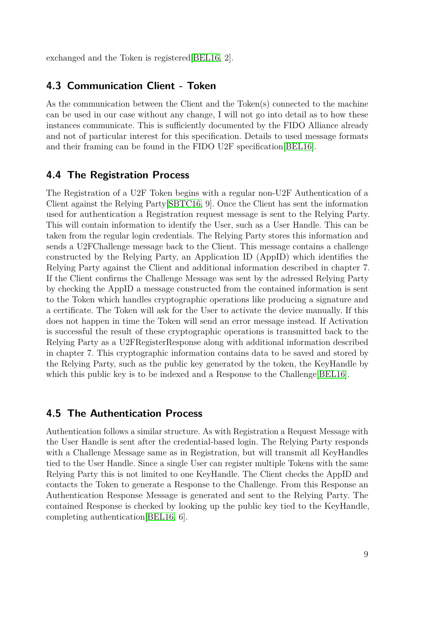exchanged and the Token is registered[\[BEL16,](#page-45-2) 2].

#### <span id="page-8-0"></span>**4.3 Communication Client - Token**

As the communication between the Client and the Token(s) connected to the machine can be used in our case without any change, I will not go into detail as to how these instances communicate. This is sufficiently documented by the FIDO Alliance already and not of particular interest for this specification. Details to used message formats and their framing can be found in the FIDO U2F specification[\[BEL16\]](#page-45-2).

#### <span id="page-8-1"></span>**4.4 The Registration Process**

The Registration of a U2F Token begins with a regular non-U2F Authentication of a Client against the Relying Party[\[SBTC16,](#page-47-2) 9]. Once the Client has sent the information used for authentication a Registration request message is sent to the Relying Party. This will contain information to identify the User, such as a User Handle. This can be taken from the regular login credentials. The Relying Party stores this information and sends a U2FChallenge message back to the Client. This message contains a challenge constructed by the Relying Party, an Application ID (AppID) which identifies the Relying Party against the Client and additional information described in chapter 7. If the Client confirms the Challenge Message was sent by the adressed Relying Party by checking the AppID a message constructed from the contained information is sent to the Token which handles cryptographic operations like producing a signature and a certificate. The Token will ask for the User to activate the device manually. If this does not happen in time the Token will send an error message instead. If Activation is successful the result of these cryptographic operations is transmitted back to the Relying Party as a U2FRegisterResponse along with additional information described in chapter 7. This cryptographic information contains data to be saved and stored by the Relying Party, such as the public key generated by the token, the KeyHandle by which this public key is to be indexed and a Response to the Challenge[\[BEL16\]](#page-45-2).

#### <span id="page-8-2"></span>**4.5 The Authentication Process**

Authentication follows a similar structure. As with Registration a Request Message with the User Handle is sent after the credential-based login. The Relying Party responds with a Challenge Message same as in Registration, but will transmit all KeyHandles tied to the User Handle. Since a single User can register multiple Tokens with the same Relying Party this is not limited to one KeyHandle. The Client checks the AppID and contacts the Token to generate a Response to the Challenge. From this Response an Authentication Response Message is generated and sent to the Relying Party. The contained Response is checked by looking up the public key tied to the KeyHandle, completing authentication[\[BEL16,](#page-45-2) 6].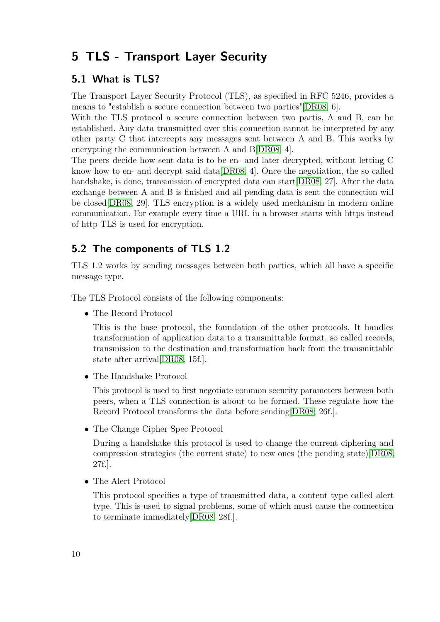# <span id="page-9-0"></span>**5 TLS - Transport Layer Security**

#### <span id="page-9-1"></span>**5.1 What is TLS?**

The Transport Layer Security Protocol (TLS), as specified in RFC 5246, provides a means to "establish a secure connection between two parties"[\[DR08,](#page-46-7) 6].

With the TLS protocol a secure connection between two partis, A and B, can be established. Any data transmitted over this connection cannot be interpreted by any other party C that intercepts any messages sent between A and B. This works by encrypting the communication between A and B[\[DR08,](#page-46-7) 4].

The peers decide how sent data is to be en- and later decrypted, without letting C know how to en- and decrypt said data[\[DR08,](#page-46-7) 4]. Once the negotiation, the so called handshake, is done, transmission of encrypted data can start [\[DR08,](#page-46-7) 27]. After the data exchange between A and B is finished and all pending data is sent the connection will be closed[\[DR08,](#page-46-7) 29]. TLS encryption is a widely used mechanism in modern online communication. For example every time a URL in a browser starts with https instead of http TLS is used for encryption.

#### <span id="page-9-2"></span>**5.2 The components of TLS 1.2**

TLS 1.2 works by sending messages between both parties, which all have a specific message type.

The TLS Protocol consists of the following components:

• The Record Protocol

This is the base protocol, the foundation of the other protocols. It handles transformation of application data to a transmittable format, so called records, transmission to the destination and transformation back from the transmittable state after arrival[\[DR08,](#page-46-7) 15f.].

• The Handshake Protocol

This protocol is used to first negotiate common security parameters between both peers, when a TLS connection is about to be formed. These regulate how the Record Protocol transforms the data before sending[\[DR08,](#page-46-7) 26f.].

• The Change Cipher Spec Protocol

During a handshake this protocol is used to change the current ciphering and compression strategies (the current state) to new ones (the pending state)[\[DR08,](#page-46-7) 27f.].

• The Alert Protocol

This protocol specifies a type of transmitted data, a content type called alert type. This is used to signal problems, some of which must cause the connection to terminate immediately[\[DR08,](#page-46-7) 28f.].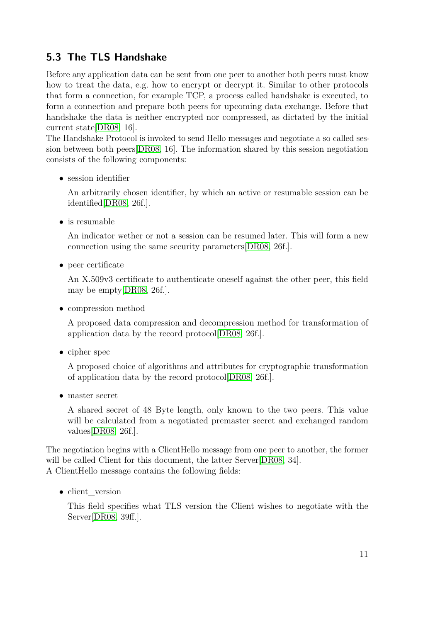### <span id="page-10-0"></span>**5.3 The TLS Handshake**

Before any application data can be sent from one peer to another both peers must know how to treat the data, e.g. how to encrypt or decrypt it. Similar to other protocols that form a connection, for example TCP, a process called handshake is executed, to form a connection and prepare both peers for upcoming data exchange. Before that handshake the data is neither encrypted nor compressed, as dictated by the initial current state[\[DR08,](#page-46-7) 16].

The Handshake Protocol is invoked to send Hello messages and negotiate a so called session between both peers[\[DR08,](#page-46-7) 16]. The information shared by this session negotiation consists of the following components:

• session identifier

An arbitrarily chosen identifier, by which an active or resumable session can be identified[\[DR08,](#page-46-7) 26f.].

• is resumable

An indicator wether or not a session can be resumed later. This will form a new connection using the same security parameters[\[DR08,](#page-46-7) 26f.].

• peer certificate

An X.509v3 certificate to authenticate oneself against the other peer, this field may be empty[\[DR08,](#page-46-7) 26f.].

• compression method

A proposed data compression and decompression method for transformation of application data by the record protocol[\[DR08,](#page-46-7) 26f.].

• cipher spec

A proposed choice of algorithms and attributes for cryptographic transformation of application data by the record protocol[\[DR08,](#page-46-7) 26f.].

• master secret

A shared secret of 48 Byte length, only known to the two peers. This value will be calculated from a negotiated premaster secret and exchanged random values[\[DR08,](#page-46-7) 26f.].

The negotiation begins with a ClientHello message from one peer to another, the former will be called Client for this document, the latter Server [\[DR08,](#page-46-7) 34]. A ClientHello message contains the following fields:

• client version

This field specifies what TLS version the Client wishes to negotiate with the Server[\[DR08,](#page-46-7) 39ff.].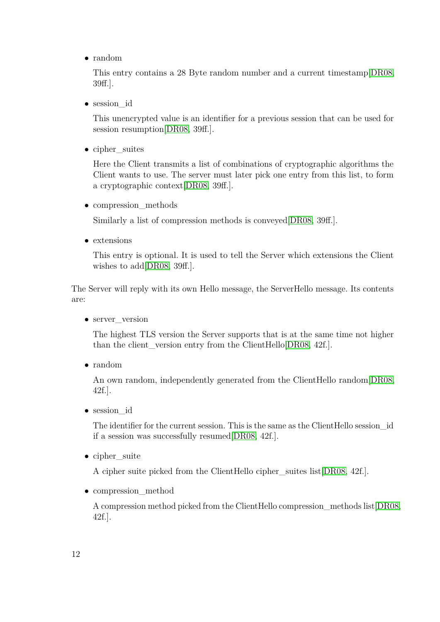• random

This entry contains a 28 Byte random number and a current timestamp[\[DR08,](#page-46-7) 39ff.].

• session\_id

This unencrypted value is an identifier for a previous session that can be used for session resumption [\[DR08,](#page-46-7) 39ff.].

• cipher suites

Here the Client transmits a list of combinations of cryptographic algorithms the Client wants to use. The server must later pick one entry from this list, to form a cryptographic context[\[DR08,](#page-46-7) 39ff.].

• compression methods

Similarly a list of compression methods is conveyed[\[DR08,](#page-46-7) 39ff.].

• extensions

This entry is optional. It is used to tell the Server which extensions the Client wishes to add [\[DR08,](#page-46-7) 39ff.].

The Server will reply with its own Hello message, the ServerHello message. Its contents are:

• server version

The highest TLS version the Server supports that is at the same time not higher than the client version entry from the ClientHello[\[DR08,](#page-46-7) 42f.].

• random

An own random, independently generated from the ClientHello random[\[DR08,](#page-46-7) 42f.].

• session\_id

The identifier for the current session. This is the same as the ClientHello session\_id if a session was successfully resumed[\[DR08,](#page-46-7) 42f.].

• cipher suite

A cipher suite picked from the ClientHello cipher\_suites list[\[DR08,](#page-46-7) 42f.].

• compression method

A compression method picked from the ClientHello compression\_methods list[\[DR08,](#page-46-7) 42f.].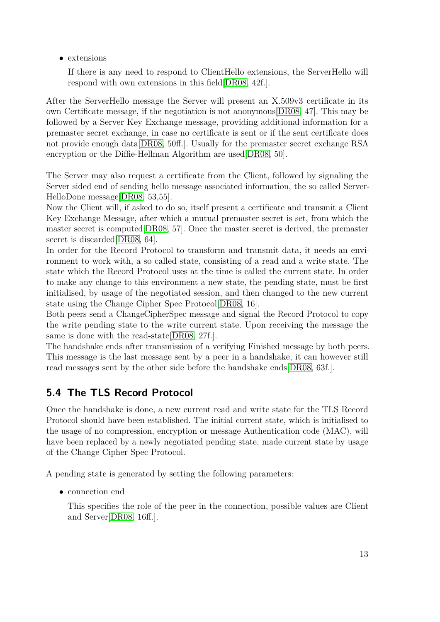• extensions

If there is any need to respond to ClientHello extensions, the ServerHello will respond with own extensions in this field[\[DR08,](#page-46-7) 42f.].

After the ServerHello message the Server will present an X.509v3 certificate in its own Certificate message, if the negotiation is not anonymous[\[DR08,](#page-46-7) 47]. This may be followed by a Server Key Exchange message, providing additional information for a premaster secret exchange, in case no certificate is sent or if the sent certificate does not provide enough data[\[DR08,](#page-46-7) 50ff.]. Usually for the premaster secret exchange RSA encryption or the Diffie-Hellman Algorithm are used[\[DR08,](#page-46-7) 50].

The Server may also request a certificate from the Client, followed by signaling the Server sided end of sending hello message associated information, the so called Server-HelloDone message[\[DR08,](#page-46-7) 53,55].

Now the Client will, if asked to do so, itself present a certificate and transmit a Client Key Exchange Message, after which a mutual premaster secret is set, from which the master secret is computed[\[DR08,](#page-46-7) 57]. Once the master secret is derived, the premaster secret is discarded DR08, 64.

In order for the Record Protocol to transform and transmit data, it needs an environment to work with, a so called state, consisting of a read and a write state. The state which the Record Protocol uses at the time is called the current state. In order to make any change to this environment a new state, the pending state, must be first initialised, by usage of the negotiated session, and then changed to the new current state using the Change Cipher Spec Protocol[\[DR08,](#page-46-7) 16].

Both peers send a ChangeCipherSpec message and signal the Record Protocol to copy the write pending state to the write current state. Upon receiving the message the same is done with the read-state[\[DR08,](#page-46-7) 27f.].

The handshake ends after transmission of a verifying Finished message by both peers. This message is the last message sent by a peer in a handshake, it can however still read messages sent by the other side before the handshake ends[\[DR08,](#page-46-7) 63f.].

### <span id="page-12-0"></span>**5.4 The TLS Record Protocol**

Once the handshake is done, a new current read and write state for the TLS Record Protocol should have been established. The initial current state, which is initialised to the usage of no compression, encryption or message Authentication code (MAC), will have been replaced by a newly negotiated pending state, made current state by usage of the Change Cipher Spec Protocol.

A pending state is generated by setting the following parameters:

• connection end

This specifies the role of the peer in the connection, possible values are Client and Server[\[DR08,](#page-46-7) 16ff.].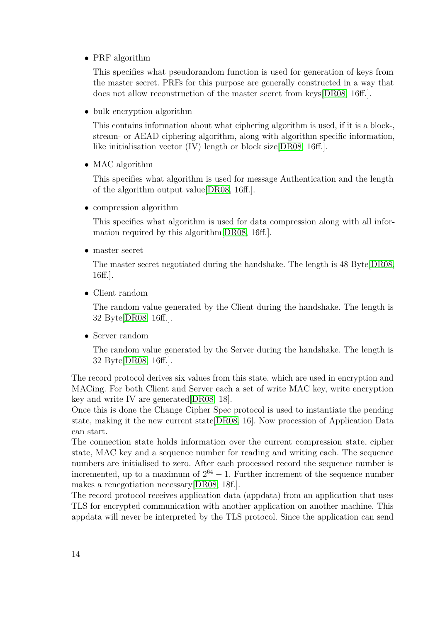• PRF algorithm

This specifies what pseudorandom function is used for generation of keys from the master secret. PRFs for this purpose are generally constructed in a way that does not allow reconstruction of the master secret from keys[\[DR08,](#page-46-7) 16ff.].

• bulk encryption algorithm

This contains information about what ciphering algorithm is used, if it is a block-, stream- or AEAD ciphering algorithm, along with algorithm specific information, like initialisation vector (IV) length or block size[\[DR08,](#page-46-7) 16ff.].

• MAC algorithm

This specifies what algorithm is used for message Authentication and the length of the algorithm output value[\[DR08,](#page-46-7) 16ff.].

• compression algorithm

This specifies what algorithm is used for data compression along with all information required by this algorithm[\[DR08,](#page-46-7) 16ff.].

• master secret

The master secret negotiated during the handshake. The length is 48 Byte[\[DR08,](#page-46-7) 16ff.].

• Client random

The random value generated by the Client during the handshake. The length is 32 Byte[\[DR08,](#page-46-7) 16ff.].

• Server random

The random value generated by the Server during the handshake. The length is 32 Byte[\[DR08,](#page-46-7) 16ff.].

The record protocol derives six values from this state, which are used in encryption and MACing. For both Client and Server each a set of write MAC key, write encryption key and write IV are generated[\[DR08,](#page-46-7) 18].

Once this is done the Change Cipher Spec protocol is used to instantiate the pending state, making it the new current state[\[DR08,](#page-46-7) 16]. Now procession of Application Data can start.

The connection state holds information over the current compression state, cipher state, MAC key and a sequence number for reading and writing each. The sequence numbers are initialised to zero. After each processed record the sequence number is incremented, up to a maximum of  $2^{64} - 1$ . Further increment of the sequence number makes a renegotiation necessary[\[DR08,](#page-46-7) 18f.].

The record protocol receives application data (appdata) from an application that uses TLS for encrypted communication with another application on another machine. This appdata will never be interpreted by the TLS protocol. Since the application can send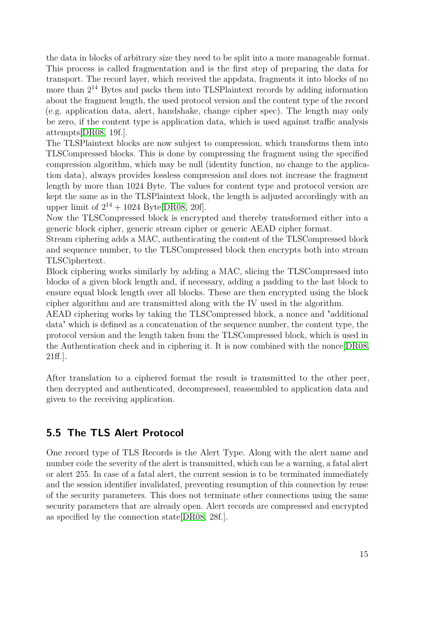the data in blocks of arbitrary size they need to be split into a more manageable format. This process is called fragmentation and is the first step of preparing the data for transport. The record layer, which received the appdata, fragments it into blocks of no more than  $2^{14}$  Bytes and packs them into TLSPlaintext records by adding information about the fragment length, the used protocol version and the content type of the record (e.g. application data, alert, handshake, change cipher spec). The length may only be zero, if the content type is application data, which is used against traffic analysis attempts[\[DR08,](#page-46-7) 19f.].

The TLSPlaintext blocks are now subject to compression, which transforms them into TLSCompressed blocks. This is done by compressing the fragment using the specified compression algorithm, which may be null (identity function, no change to the application data), always provides lossless compression and does not increase the fragment length by more than 1024 Byte. The values for content type and protocol version are kept the same as in the TLSPlaintext block, the length is adjusted accordingly with an upper limit of  $2^{14} + 1024$  Byte[\[DR08,](#page-46-7) 20f].

Now the TLSCompressed block is encrypted and thereby transformed either into a generic block cipher, generic stream cipher or generic AEAD cipher format.

Stream ciphering adds a MAC, authenticating the content of the TLSCompressed block and sequence number, to the TLSCompressed block then encrypts both into stream TLSCiphertext.

Block ciphering works similarly by adding a MAC, slicing the TLSCompressed into blocks of a given block length and, if necessary, adding a padding to the last block to ensure equal block length over all blocks. These are then encrypted using the block cipher algorithm and are transmitted along with the IV used in the algorithm.

AEAD ciphering works by taking the TLSCompressed block, a nonce and "additional data" which is defined as a concatenation of the sequence number, the content type, the protocol version and the length taken from the TLSCompressed block, which is used in the Authentication check and in ciphering it. It is now combined with the nonce[\[DR08,](#page-46-7) 21ff.].

After translation to a ciphered format the result is transmitted to the other peer, then decrypted and authenticated, decompressed, reassembled to application data and given to the receiving application.

#### <span id="page-14-0"></span>**5.5 The TLS Alert Protocol**

One record type of TLS Records is the Alert Type. Along with the alert name and number code the severity of the alert is transmitted, which can be a warning, a fatal alert or alert 255. In case of a fatal alert, the current session is to be terminated immediately and the session identifier invalidated, preventing resumption of this connection by reuse of the security parameters. This does not terminate other connections using the same security parameters that are already open. Alert records are compressed and encrypted as specified by the connection state[\[DR08,](#page-46-7) 28f.].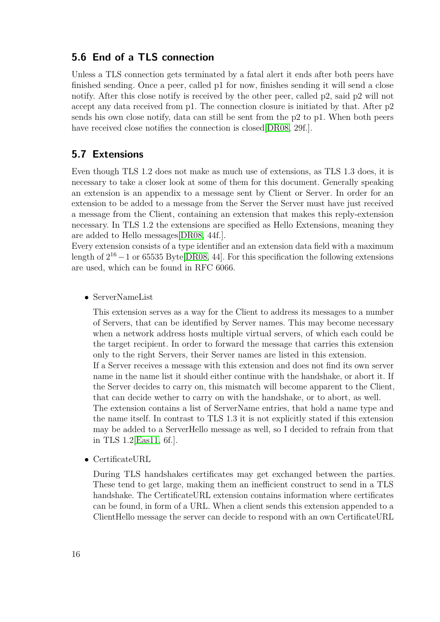#### <span id="page-15-0"></span>**5.6 End of a TLS connection**

Unless a TLS connection gets terminated by a fatal alert it ends after both peers have finished sending. Once a peer, called p1 for now, finishes sending it will send a close notify. After this close notify is received by the other peer, called p2, said p2 will not accept any data received from p1. The connection closure is initiated by that. After p2 sends his own close notify, data can still be sent from the p2 to p1. When both peers have received close notifies the connection is closed DR08, 29f.

#### <span id="page-15-1"></span>**5.7 Extensions**

Even though TLS 1.2 does not make as much use of extensions, as TLS 1.3 does, it is necessary to take a closer look at some of them for this document. Generally speaking an extension is an appendix to a message sent by Client or Server. In order for an extension to be added to a message from the Server the Server must have just received a message from the Client, containing an extension that makes this reply-extension necessary. In TLS 1.2 the extensions are specified as Hello Extensions, meaning they are added to Hello messages[\[DR08,](#page-46-7) 44f.].

Every extension consists of a type identifier and an extension data field with a maximum length of  $2^{16} - 1$  or 65535 Byte[\[DR08,](#page-46-7) 44]. For this specification the following extensions are used, which can be found in RFC 6066.

• ServerNameList

This extension serves as a way for the Client to address its messages to a number of Servers, that can be identified by Server names. This may become necessary when a network address hosts multiple virtual servers, of which each could be the target recipient. In order to forward the message that carries this extension only to the right Servers, their Server names are listed in this extension. If a Server receives a message with this extension and does not find its own server name in the name list it should either continue with the handshake, or abort it. If the Server decides to carry on, this mismatch will become apparent to the Client, that can decide wether to carry on with the handshake, or to abort, as well. The extension contains a list of ServerName entries, that hold a name type and the name itself. In contrast to TLS 1.3 it is not explicitly stated if this extension may be added to a ServerHello message as well, so I decided to refrain from that

• CertificateURL

in TLS 1.2[\[Eas11,](#page-46-8) 6f.].

During TLS handshakes certificates may get exchanged between the parties. These tend to get large, making them an inefficient construct to send in a TLS handshake. The CertificateURL extension contains information where certificates can be found, in form of a URL. When a client sends this extension appended to a ClientHello message the server can decide to respond with an own CertificateURL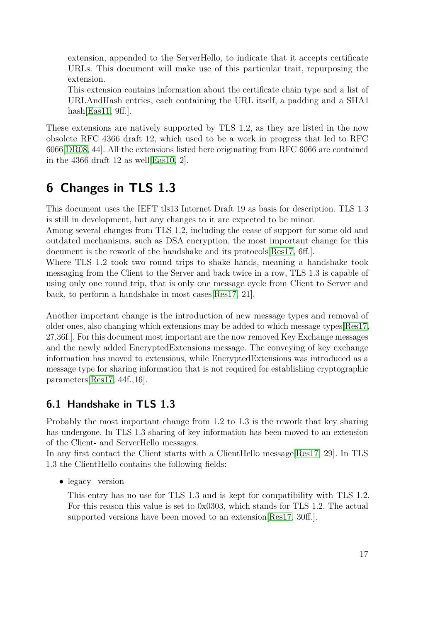extension, appended to the ServerHello, to indicate that it accepts certificate URLs. This document will make use of this particular trait, repurposing the extension.

This extension contains information about the certificate chain type and a list of URLAndHash entries, each containing the URL itself, a padding and a SHA1 hash $[East1, 9ff.]$ .

These extensions are natively supported by TLS 1.2, as they are listed in the now obsolete RFC 4366 draft 12, which used to be a work in progress that led to RFC 6066[\[DR08,](#page-46-7) 44]. All the extensions listed here originating from RFC 6066 are contained in the 4366 draft 12 as well  $\lbrack$ Eas10, 2 $\rbrack$ .

# <span id="page-16-0"></span>**6 Changes in TLS 1.3**

This document uses the IEFT tls13 Internet Draft 19 as basis for description. TLS 1.3 is still in development, but any changes to it are expected to be minor.

Among several changes from TLS 1.2, including the cease of support for some old and outdated mechanisms, such as DSA encryption, the most important change for this document is the rework of the handshake and its protocols[\[Res17,](#page-46-10) 6ff.].

Where TLS 1.2 took two round trips to shake hands, meaning a handshake took messaging from the Client to the Server and back twice in a row, TLS 1.3 is capable of using only one round trip, that is only one message cycle from Client to Server and back, to perform a handshake in most cases[\[Res17,](#page-46-10) 21].

Another important change is the introduction of new message types and removal of older ones, also changing which extensions may be added to which message types[\[Res17,](#page-46-10) 27,36f.]. For this document most important are the now removed Key Exchange messages and the newly added EncryptedExtensions message. The conveying of key exchange information has moved to extensions, while EncryptedExtensions was introduced as a message type for sharing information that is not required for establishing cryptographic parameters[\[Res17,](#page-46-10) 44f.,16].

#### <span id="page-16-1"></span>**6.1 Handshake in TLS 1.3**

Probably the most important change from 1.2 to 1.3 is the rework that key sharing has undergone. In TLS 1.3 sharing of key information has been moved to an extension of the Client- and ServerHello messages.

In any first contact the Client starts with a ClientHello message[\[Res17,](#page-46-10) 29]. In TLS 1.3 the ClientHello contains the following fields:

• legacy\_version

This entry has no use for TLS 1.3 and is kept for compatibility with TLS 1.2. For this reason this value is set to 0x0303, which stands for TLS 1.2. The actual supported versions have been moved to an extension Res17, 30ff...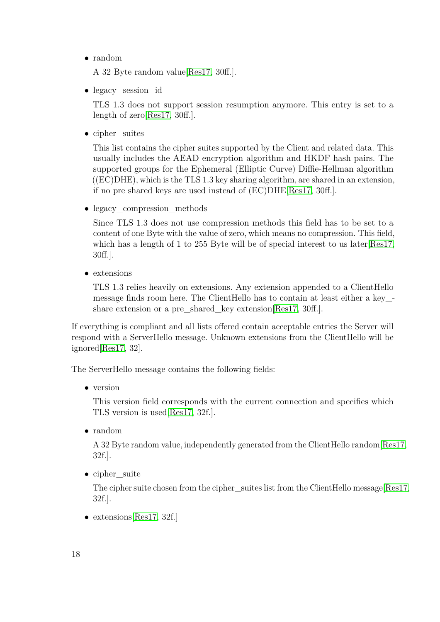• random

A 32 Byte random value[\[Res17,](#page-46-10) 30ff.].

• legacy session id

TLS 1.3 does not support session resumption anymore. This entry is set to a length of zero[\[Res17,](#page-46-10) 30ff.].

• cipher\_suites

This list contains the cipher suites supported by the Client and related data. This usually includes the AEAD encryption algorithm and HKDF hash pairs. The supported groups for the Ephemeral (Elliptic Curve) Diffie-Hellman algorithm  $((EC) DHE)$ , which is the TLS 1.3 key sharing algorithm, are shared in an extension, if no pre shared keys are used instead of (EC)DHE[\[Res17,](#page-46-10) 30ff.].

• legacy compression methods

Since TLS 1.3 does not use compression methods this field has to be set to a content of one Byte with the value of zero, which means no compression. This field, which has a length of 1 to 255 Byte will be of special interest to us later Res17, 30ff.].

• extensions

TLS 1.3 relies heavily on extensions. Any extension appended to a ClientHello message finds room here. The ClientHello has to contain at least either a key\_- share extension or a pre\_shared\_key extension[\[Res17,](#page-46-10) 30ff.].

If everything is compliant and all lists offered contain acceptable entries the Server will respond with a ServerHello message. Unknown extensions from the ClientHello will be ignored[\[Res17,](#page-46-10) 32].

The ServerHello message contains the following fields:

• version

This version field corresponds with the current connection and specifies which TLS version is used[\[Res17,](#page-46-10) 32f.].

• random

A 32 Byte random value, independently generated from the ClientHello random[\[Res17,](#page-46-10) 32f.].

• cipher suite

The cipher suite chosen from the cipher suites list from the ClientHello message[\[Res17,](#page-46-10) 32f.].

• extensions Res17, 32f.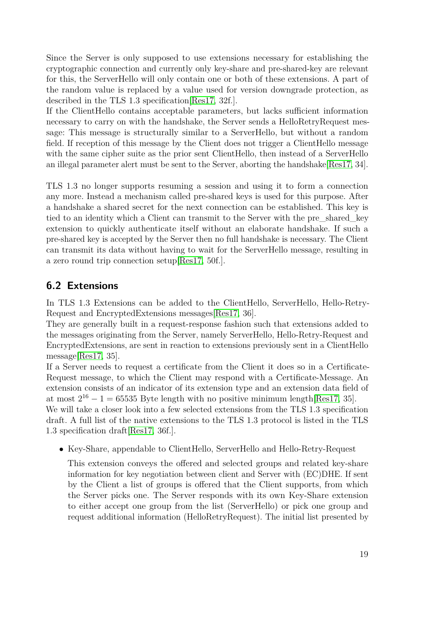Since the Server is only supposed to use extensions necessary for establishing the cryptographic connection and currently only key-share and pre-shared-key are relevant for this, the ServerHello will only contain one or both of these extensions. A part of the random value is replaced by a value used for version downgrade protection, as described in the TLS 1.3 specification[\[Res17,](#page-46-10) 32f.].

If the ClientHello contains acceptable parameters, but lacks sufficient information necessary to carry on with the handshake, the Server sends a HelloRetryRequest message: This message is structurally similar to a ServerHello, but without a random field. If reception of this message by the Client does not trigger a ClientHello message with the same cipher suite as the prior sent ClientHello, then instead of a ServerHello an illegal parameter alert must be sent to the Server, aborting the handshake[\[Res17,](#page-46-10) 34].

TLS 1.3 no longer supports resuming a session and using it to form a connection any more. Instead a mechanism called pre-shared keys is used for this purpose. After a handshake a shared secret for the next connection can be established. This key is tied to an identity which a Client can transmit to the Server with the pre\_shared\_key extension to quickly authenticate itself without an elaborate handshake. If such a pre-shared key is accepted by the Server then no full handshake is necessary. The Client can transmit its data without having to wait for the ServerHello message, resulting in a zero round trip connection setup[\[Res17,](#page-46-10) 50f.].

### <span id="page-18-0"></span>**6.2 Extensions**

In TLS 1.3 Extensions can be added to the ClientHello, ServerHello, Hello-Retry-Request and EncryptedExtensions messages[\[Res17,](#page-46-10) 36].

They are generally built in a request-response fashion such that extensions added to the messages originating from the Server, namely ServerHello, Hello-Retry-Request and EncryptedExtensions, are sent in reaction to extensions previously sent in a ClientHello message[\[Res17,](#page-46-10) 35].

If a Server needs to request a certificate from the Client it does so in a Certificate-Request message, to which the Client may respond with a Certificate-Message. An extension consists of an indicator of its extension type and an extension data field of at most  $2^{16} - 1 = 65535$  Byte length with no positive minimum length [\[Res17,](#page-46-10) 35].

We will take a closer look into a few selected extensions from the TLS 1.3 specification draft. A full list of the native extensions to the TLS 1.3 protocol is listed in the TLS 1.3 specification draft[\[Res17,](#page-46-10) 36f.].

• Key-Share, appendable to ClientHello, ServerHello and Hello-Retry-Request

This extension conveys the offered and selected groups and related key-share information for key negotiation between client and Server with (EC)DHE. If sent by the Client a list of groups is offered that the Client supports, from which the Server picks one. The Server responds with its own Key-Share extension to either accept one group from the list (ServerHello) or pick one group and request additional information (HelloRetryRequest). The initial list presented by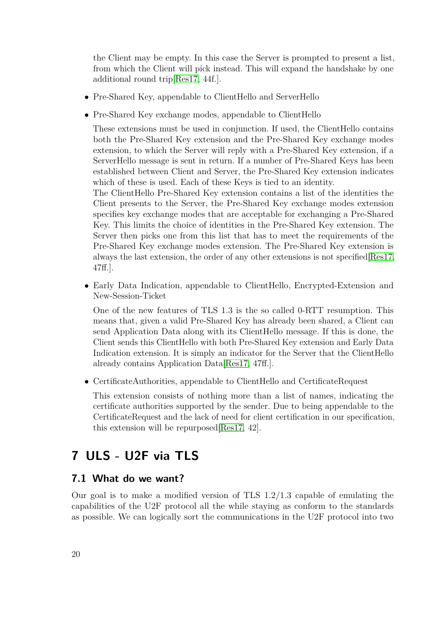the Client may be empty. In this case the Server is prompted to present a list, from which the Client will pick instead. This will expand the handshake by one additional round trip[\[Res17,](#page-46-10) 44f.].

- Pre-Shared Key, appendable to ClientHello and ServerHello
- Pre-Shared Key exchange modes, appendable to ClientHello

These extensions must be used in conjunction. If used, the ClientHello contains both the Pre-Shared Key extension and the Pre-Shared Key exchange modes extension, to which the Server will reply with a Pre-Shared Key extension, if a ServerHello message is sent in return. If a number of Pre-Shared Keys has been established between Client and Server, the Pre-Shared Key extension indicates which of these is used. Each of these Keys is tied to an identity.

The ClientHello Pre-Shared Key extension contains a list of the identities the Client presents to the Server, the Pre-Shared Key exchange modes extension specifies key exchange modes that are acceptable for exchanging a Pre-Shared Key. This limits the choice of identities in the Pre-Shared Key extension. The Server then picks one from this list that has to meet the requirements of the Pre-Shared Key exchange modes extension. The Pre-Shared Key extension is always the last extension, the order of any other extensions is not specified[\[Res17,](#page-46-10) 47ff.].

• Early Data Indication, appendable to ClientHello, Encrypted-Extension and New-Session-Ticket

One of the new features of TLS 1.3 is the so called 0-RTT resumption. This means that, given a valid Pre-Shared Key has already been shared, a Client can send Application Data along with its ClientHello message. If this is done, the Client sends this ClientHello with both Pre-Shared Key extension and Early Data Indication extension. It is simply an indicator for the Server that the ClientHello already contains Application Data[\[Res17,](#page-46-10) 47ff.].

• CertificateAuthorities, appendable to ClientHello and CertificateRequest

This extension consists of nothing more than a list of names, indicating the certificate authorities supported by the sender. Due to being appendable to the CertificateRequest and the lack of need for client certification in our specification, this extension will be repurposed[\[Res17,](#page-46-10) 42].

# <span id="page-19-0"></span>**7 ULS - U2F via TLS**

#### <span id="page-19-1"></span>**7.1 What do we want?**

Our goal is to make a modified version of TLS 1.2/1.3 capable of emulating the capabilities of the U2F protocol all the while staying as conform to the standards as possible. We can logically sort the communications in the U2F protocol into two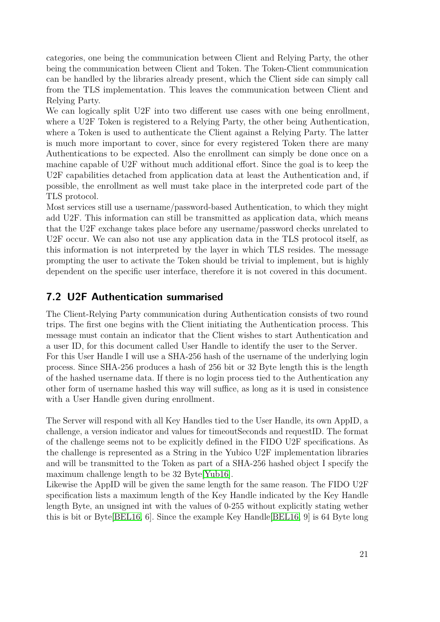categories, one being the communication between Client and Relying Party, the other being the communication between Client and Token. The Token-Client communication can be handled by the libraries already present, which the Client side can simply call from the TLS implementation. This leaves the communication between Client and Relying Party.

We can logically split U2F into two different use cases with one being enrollment, where a U2F Token is registered to a Relying Party, the other being Authentication, where a Token is used to authenticate the Client against a Relying Party. The latter is much more important to cover, since for every registered Token there are many Authentications to be expected. Also the enrollment can simply be done once on a machine capable of U2F without much additional effort. Since the goal is to keep the U2F capabilities detached from application data at least the Authentication and, if possible, the enrollment as well must take place in the interpreted code part of the TLS protocol.

Most services still use a username/password-based Authentication, to which they might add U2F. This information can still be transmitted as application data, which means that the U2F exchange takes place before any username/password checks unrelated to U2F occur. We can also not use any application data in the TLS protocol itself, as this information is not interpreted by the layer in which TLS resides. The message prompting the user to activate the Token should be trivial to implement, but is highly dependent on the specific user interface, therefore it is not covered in this document.

#### <span id="page-20-0"></span>**7.2 U2F Authentication summarised**

The Client-Relying Party communication during Authentication consists of two round trips. The first one begins with the Client initiating the Authentication process. This message must contain an indicator that the Client wishes to start Authentication and a user ID, for this document called User Handle to identify the user to the Server. For this User Handle I will use a SHA-256 hash of the username of the underlying login process. Since SHA-256 produces a hash of 256 bit or 32 Byte length this is the length of the hashed username data. If there is no login process tied to the Authentication any other form of username hashed this way will suffice, as long as it is used in consistence with a User Handle given during enrollment.

The Server will respond with all Key Handles tied to the User Handle, its own AppID, a challenge, a version indicator and values for timeoutSeconds and requestID. The format of the challenge seems not to be explicitly defined in the FIDO U2F specifications. As the challenge is represented as a String in the Yubico U2F implementation libraries and will be transmitted to the Token as part of a SHA-256 hashed object I specify the maximum challenge length to be 32 Byte[\[Yub16\]](#page-47-4).

Likewise the AppID will be given the same length for the same reason. The FIDO U2F specification lists a maximum length of the Key Handle indicated by the Key Handle length Byte, an unsigned int with the values of 0-255 without explicitly stating wether this is bit or Byte[\[BEL16,](#page-45-2) 6]. Since the example Key Handle[\[BEL16,](#page-45-2) 9] is 64 Byte long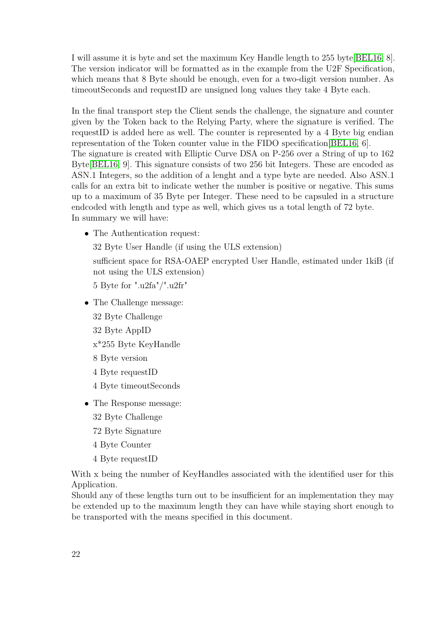I will assume it is byte and set the maximum Key Handle length to 255 byte[\[BEL16,](#page-45-2) 8]. The version indicator will be formatted as in the example from the U2F Specification, which means that 8 Byte should be enough, even for a two-digit version number. As timeoutSeconds and requestID are unsigned long values they take 4 Byte each.

In the final transport step the Client sends the challenge, the signature and counter given by the Token back to the Relying Party, where the signature is verified. The requestID is added here as well. The counter is represented by a 4 Byte big endian representation of the Token counter value in the FIDO specification[\[BEL16,](#page-45-2) 6]. The signature is created with Elliptic Curve DSA on P-256 over a String of up to 162 Byte[\[BEL16,](#page-45-2) 9]. This signature consists of two 256 bit Integers. These are encoded as ASN.1 Integers, so the addition of a lenght and a type byte are needed. Also ASN.1 calls for an extra bit to indicate wether the number is positive or negative. This sums up to a maximum of 35 Byte per Integer. These need to be capsuled in a structure endcoded with length and type as well, which gives us a total length of 72 byte. In summary we will have:

• The Authentication request:

32 Byte User Handle (if using the ULS extension)

sufficient space for RSA-OAEP encrypted User Handle, estimated under 1kiB (if not using the ULS extension)

5 Byte for ".u2fa"/".u2fr"

- The Challenge message: 32 Byte Challenge 32 Byte AppID
	- x\*255 Byte KeyHandle
	- 8 Byte version
	- 4 Byte requestID
	- 4 Byte timeoutSeconds
- The Response message:
	- 32 Byte Challenge
	- 72 Byte Signature
	- 4 Byte Counter
	- 4 Byte requestID

With x being the number of KeyHandles associated with the identified user for this Application.

Should any of these lengths turn out to be insufficient for an implementation they may be extended up to the maximum length they can have while staying short enough to be transported with the means specified in this document.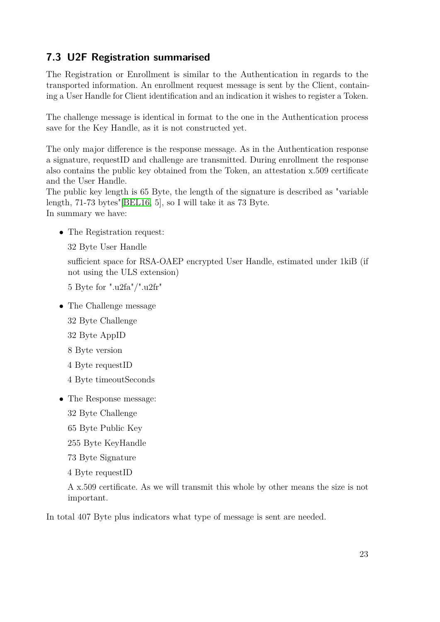### <span id="page-22-0"></span>**7.3 U2F Registration summarised**

The Registration or Enrollment is similar to the Authentication in regards to the transported information. An enrollment request message is sent by the Client, containing a User Handle for Client identification and an indication it wishes to register a Token.

The challenge message is identical in format to the one in the Authentication process save for the Key Handle, as it is not constructed yet.

The only major difference is the response message. As in the Authentication response a signature, requestID and challenge are transmitted. During enrollment the response also contains the public key obtained from the Token, an attestation x.509 certificate and the User Handle.

The public key length is 65 Byte, the length of the signature is described as "variable length, 71-73 bytes"[\[BEL16,](#page-45-2) 5], so I will take it as 73 Byte. In summary we have:

• The Registration request:

32 Byte User Handle

sufficient space for RSA-OAEP encrypted User Handle, estimated under 1kiB (if not using the ULS extension)

5 Byte for ".u2fa"/".u2fr"

- The Challenge message
	- 32 Byte Challenge
	- 32 Byte AppID
	- 8 Byte version
	- 4 Byte requestID
	- 4 Byte timeoutSeconds
- The Response message:
	- 32 Byte Challenge
	- 65 Byte Public Key
	- 255 Byte KeyHandle

73 Byte Signature

4 Byte requestID

A x.509 certificate. As we will transmit this whole by other means the size is not important.

In total 407 Byte plus indicators what type of message is sent are needed.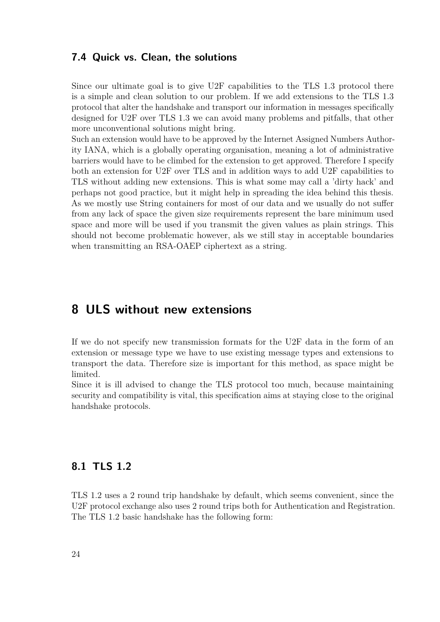#### <span id="page-23-0"></span>**7.4 Quick vs. Clean, the solutions**

Since our ultimate goal is to give U2F capabilities to the TLS 1.3 protocol there is a simple and clean solution to our problem. If we add extensions to the TLS 1.3 protocol that alter the handshake and transport our information in messages specifically designed for U2F over TLS 1.3 we can avoid many problems and pitfalls, that other more unconventional solutions might bring.

Such an extension would have to be approved by the Internet Assigned Numbers Authority IANA, which is a globally operating organisation, meaning a lot of administrative barriers would have to be climbed for the extension to get approved. Therefore I specify both an extension for U2F over TLS and in addition ways to add U2F capabilities to TLS without adding new extensions. This is what some may call a 'dirty hack' and perhaps not good practice, but it might help in spreading the idea behind this thesis. As we mostly use String containers for most of our data and we usually do not suffer from any lack of space the given size requirements represent the bare minimum used space and more will be used if you transmit the given values as plain strings. This should not become problematic however, als we still stay in acceptable boundaries when transmitting an RSA-OAEP ciphertext as a string.

### <span id="page-23-1"></span>**8 ULS without new extensions**

If we do not specify new transmission formats for the U2F data in the form of an extension or message type we have to use existing message types and extensions to transport the data. Therefore size is important for this method, as space might be limited.

Since it is ill advised to change the TLS protocol too much, because maintaining security and compatibility is vital, this specification aims at staying close to the original handshake protocols.

#### <span id="page-23-2"></span>**8.1 TLS 1.2**

TLS 1.2 uses a 2 round trip handshake by default, which seems convenient, since the U2F protocol exchange also uses 2 round trips both for Authentication and Registration. The TLS 1.2 basic handshake has the following form: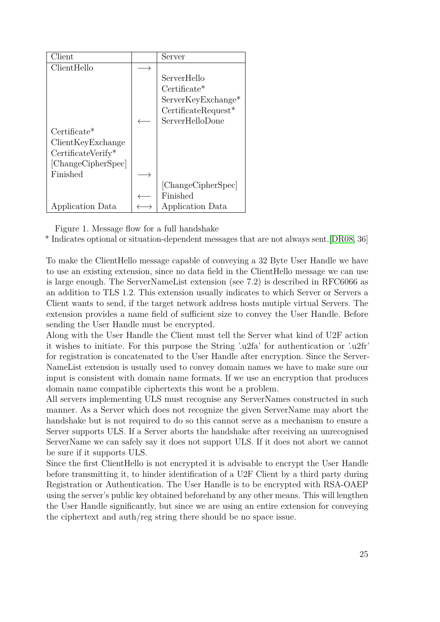| Client             | Server                |
|--------------------|-----------------------|
| ClientHello        |                       |
|                    | ServerHello           |
|                    | $Certificate*$        |
|                    | ServerKeyExchange*    |
|                    | $CertificateRequest*$ |
|                    | ServerHelloDone       |
| $Certiface*$       |                       |
| ClientKeyExchange  |                       |
| CertificateVerify* |                       |
| [ChangeCipherSpec] |                       |
| Finished           |                       |
|                    | [ChangeCipherSpec]    |
|                    | Finished              |
| Application Data   | Application Data      |

Figure 1. Message flow for a full handshake

\* Indicates optional or situation-dependent messages that are not always sent.[\[DR08,](#page-46-7) 36]

To make the ClientHello message capable of conveying a 32 Byte User Handle we have to use an existing extension, since no data field in the ClientHello message we can use is large enough. The ServerNameList extension (see 7.2) is described in RFC6066 as an addition to TLS 1.2. This extension usually indicates to which Server or Servers a Client wants to send, if the target network address hosts mutiple virtual Servers. The extension provides a name field of sufficient size to convey the User Handle. Before sending the User Handle must be encrypted.

Along with the User Handle the Client must tell the Server what kind of U2F action it wishes to initiate. For this purpose the String '.u2fa' for authentication or '.u2fr' for registration is concatenated to the User Handle after encryption. Since the Server-NameList extension is usually used to convey domain names we have to make sure our input is consistent with domain name formats. If we use an encryption that produces domain name compatible ciphertexts this wont be a problem.

All servers implementing ULS must recognise any ServerNames constructed in such manner. As a Server which does not recognize the given ServerName may abort the handshake but is not required to do so this cannot serve as a mechanism to ensure a Server supports ULS. If a Server aborts the handshake after receiving an unrecognised ServerName we can safely say it does not support ULS. If it does not abort we cannot be sure if it supports ULS.

Since the first ClientHello is not encrypted it is advisable to encrypt the User Handle before transmitting it, to hinder identification of a U2F Client by a third party during Registration or Authentication. The User Handle is to be encrypted with RSA-OAEP using the server's public key obtained beforehand by any other means. This will lengthen the User Handle significantly, but since we are using an entire extension for conveying the ciphertext and auth/reg string there should be no space issue.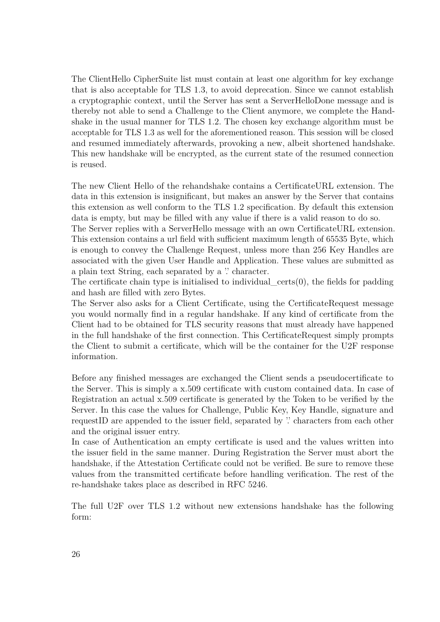The ClientHello CipherSuite list must contain at least one algorithm for key exchange that is also acceptable for TLS 1.3, to avoid deprecation. Since we cannot establish a cryptographic context, until the Server has sent a ServerHelloDone message and is thereby not able to send a Challenge to the Client anymore, we complete the Handshake in the usual manner for TLS 1.2. The chosen key exchange algorithm must be acceptable for TLS 1.3 as well for the aforementioned reason. This session will be closed and resumed immediately afterwards, provoking a new, albeit shortened handshake. This new handshake will be encrypted, as the current state of the resumed connection is reused.

The new Client Hello of the rehandshake contains a CertificateURL extension. The data in this extension is insignificant, but makes an answer by the Server that contains this extension as well conform to the TLS 1.2 specification. By default this extension data is empty, but may be filled with any value if there is a valid reason to do so.

The Server replies with a ServerHello message with an own CertificateURL extension. This extension contains a url field with sufficient maximum length of 65535 Byte, which is enough to convey the Challenge Request, unless more than 256 Key Handles are associated with the given User Handle and Application. These values are submitted as a plain text String, each separated by a " character.

The certificate chain type is initialised to individual  $\text{certs}(0)$ , the fields for padding and hash are filled with zero Bytes.

The Server also asks for a Client Certificate, using the CertificateRequest message you would normally find in a regular handshake. If any kind of certificate from the Client had to be obtained for TLS security reasons that must already have happened in the full handshake of the first connection. This CertificateRequest simply prompts the Client to submit a certificate, which will be the container for the U2F response information.

Before any finished messages are exchanged the Client sends a pseudocertificate to the Server. This is simply a x.509 certificate with custom contained data. In case of Registration an actual x.509 certificate is generated by the Token to be verified by the Server. In this case the values for Challenge, Public Key, Key Handle, signature and requestID are appended to the issuer field, separated by " characters from each other and the original issuer entry.

In case of Authentication an empty certificate is used and the values written into the issuer field in the same manner. During Registration the Server must abort the handshake, if the Attestation Certificate could not be verified. Be sure to remove these values from the transmitted certificate before handling verification. The rest of the re-handshake takes place as described in RFC 5246.

The full U2F over TLS 1.2 without new extensions handshake has the following form: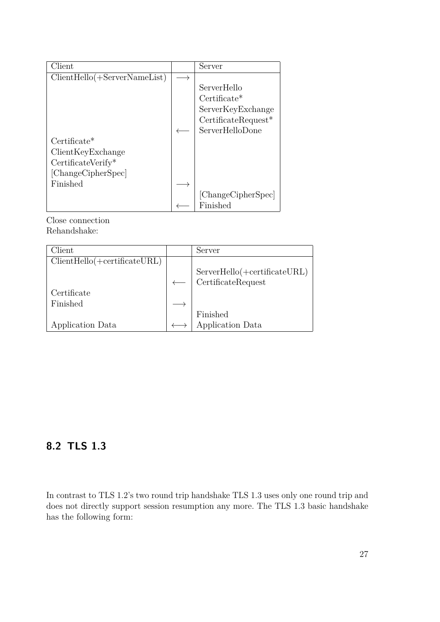| Client                         | Server                |
|--------------------------------|-----------------------|
| $ClientHello(+ServerNameList)$ |                       |
|                                | ServerHello           |
|                                | $Certificate*$        |
|                                | ServerKeyExchange     |
|                                | $CertificateRequest*$ |
|                                | ServerHelloDone       |
| $Certificate*$                 |                       |
| ClientKeyExchange              |                       |
| CertificateVerify*             |                       |
| [ChangeCipherSpec]             |                       |
| Finished                       |                       |
|                                | [ChangeCipherSpec]    |
|                                | Finished              |

Close connection Rehandshake:

| Client                           | Server                                     |
|----------------------------------|--------------------------------------------|
| $ClientHello(+certificance URL)$ |                                            |
|                                  | $ServerHello( + certificateURL)$           |
|                                  | $\label{eq:1} \textsc{CertificateRequest}$ |
| Certificate                      |                                            |
| Finished                         |                                            |
|                                  | Finished                                   |
| Application Data                 | Application Data                           |

# <span id="page-26-0"></span>**8.2 TLS 1.3**

In contrast to TLS 1.2's two round trip handshake TLS 1.3 uses only one round trip and does not directly support session resumption any more. The TLS 1.3 basic handshake has the following form: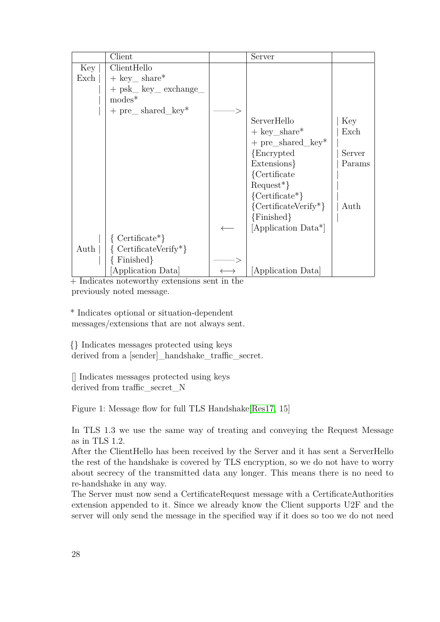|      | Client                                         | Server                     |        |
|------|------------------------------------------------|----------------------------|--------|
| Key  | ClientHello                                    |                            |        |
| Exch | $+$ key share <sup>*</sup>                     |                            |        |
|      | $+$ psk <sub>m</sub> key <sub>m</sub> exchange |                            |        |
|      | $modes^*$                                      |                            |        |
|      | $+$ pre $\_$ shared $_k$                       |                            |        |
|      |                                                | ServerHello                | Key    |
|      |                                                | $+$ key_share <sup>*</sup> | Exch   |
|      |                                                | $+$ pre_shared_key*        |        |
|      |                                                | {Encrypted}                | Server |
|      |                                                | Extensions                 | Params |
|      |                                                | {Certificate}              |        |
|      |                                                | $Request^*\}$              |        |
|      |                                                | ${\text{Certificance*}}$   |        |
|      |                                                | ${CertificateVerify*}$     | Auth   |
|      |                                                | $\{Finished\}$             |        |
|      |                                                | [Application Data*]        |        |
|      | $\{$ Certificate <sup>*</sup> }                |                            |        |
| Auth | $\{$ CertificateVerify <sup>*</sup> }          |                            |        |
|      | Finished                                       |                            |        |
|      | [Application Data]                             | Application Data           |        |

+ Indicates noteworthy extensions sent in the previously noted message.

\* Indicates optional or situation-dependent messages/extensions that are not always sent.

{} Indicates messages protected using keys derived from a [sender]\_handshake\_traffic\_secret.

[] Indicates messages protected using keys derived from traffic secret N

Figure 1: Message flow for full TLS Handshake[\[Res17,](#page-46-10) 15]

In TLS 1.3 we use the same way of treating and conveying the Request Message as in TLS 1.2.

After the ClientHello has been received by the Server and it has sent a ServerHello the rest of the handshake is covered by TLS encryption, so we do not have to worry about secrecy of the transmitted data any longer. This means there is no need to re-handshake in any way.

The Server must now send a CertificateRequest message with a CertificateAuthorities extension appended to it. Since we already know the Client supports U2F and the server will only send the message in the specified way if it does so too we do not need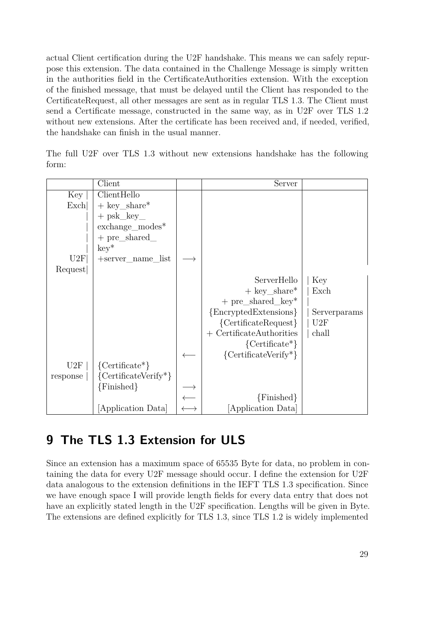actual Client certification during the U2F handshake. This means we can safely repurpose this extension. The data contained in the Challenge Message is simply written in the authorities field in the CertificateAuthorities extension. With the exception of the finished message, that must be delayed until the Client has responded to the CertificateRequest, all other messages are sent as in regular TLS 1.3. The Client must send a Certificate message, constructed in the same way, as in U2F over TLS 1.2 without new extensions. After the certificate has been received and, if needed, verified, the handshake can finish in the usual manner.

|       |  |  |  | The full U2F over TLS 1.3 without new extensions handshake has the following |  |  |
|-------|--|--|--|------------------------------------------------------------------------------|--|--|
| torm: |  |  |  |                                                                              |  |  |

|          | Client                   | Server                        |              |
|----------|--------------------------|-------------------------------|--------------|
| Key      | ClientHello              |                               |              |
| Exch     | $+$ key_share*           |                               |              |
|          | $+$ psk_key_             |                               |              |
|          | $\rm{exchange\_modes}^*$ |                               |              |
|          | $+$ pre_shared_          |                               |              |
|          | $key^*$                  |                               |              |
| U2F      | +server_name_list        |                               |              |
| Request  |                          |                               |              |
|          |                          | ServerHello                   | Key          |
|          |                          | $+$ key_share*                | Exch         |
|          |                          | $+$ pre_shared_key*           |              |
|          |                          | {EncryptedExtensions}         | Serverparams |
|          |                          | ${CertificateRequest}$        | U2F          |
|          |                          | $+$ CertificateAuthorities    | chall        |
|          |                          | ${\text{Certificance*}}$      |              |
|          |                          | ${\text{CertificateVerify*}}$ |              |
| U2F      | ${\text{Certificance*}}$ |                               |              |
| response | ${CertificateVerify*}$   |                               |              |
|          | $\{Finished\}$           |                               |              |
|          |                          | ${Finshed}$                   |              |
|          | [Application Data]       | [Application Data]            |              |

# <span id="page-28-0"></span>**9 The TLS 1.3 Extension for ULS**

Since an extension has a maximum space of 65535 Byte for data, no problem in containing the data for every U2F message should occur. I define the extension for U2F data analogous to the extension definitions in the IEFT TLS 1.3 specification. Since we have enough space I will provide length fields for every data entry that does not have an explicitly stated length in the U2F specification. Lengths will be given in Byte. The extensions are defined explicitly for TLS 1.3, since TLS 1.2 is widely implemented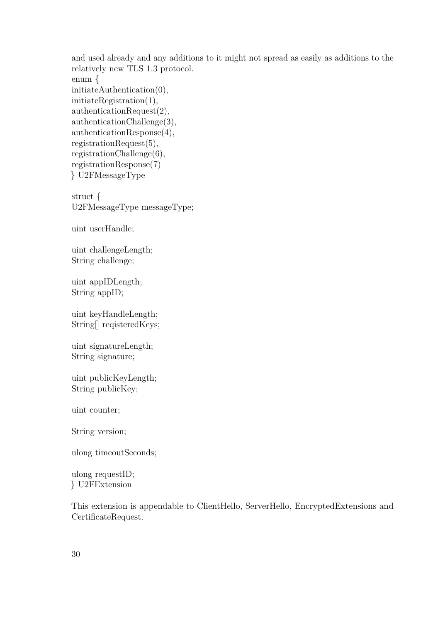and used already and any additions to it might not spread as easily as additions to the relatively new TLS 1.3 protocol. enum { initiateAuthentication(0), initiateRegistration(1), authenticationRequest(2), authenticationChallenge(3), authenticationResponse(4), registrationRequest(5), registrationChallenge(6), registrationResponse(7) } U2FMessageType struct { U2FMessageType messageType;

uint userHandle;

uint challengeLength; String challenge;

uint appIDLength; String appID;

uint keyHandleLength; String[] reqisteredKeys;

uint signatureLength; String signature;

uint publicKeyLength; String publicKey;

uint counter;

String version;

ulong timeoutSeconds;

ulong requestID; } U2FExtension

This extension is appendable to ClientHello, ServerHello, EncryptedExtensions and CertificateRequest.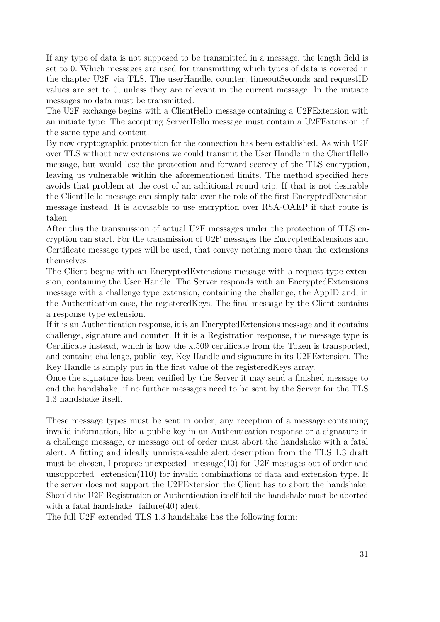If any type of data is not supposed to be transmitted in a message, the length field is set to 0. Which messages are used for transmitting which types of data is covered in the chapter U2F via TLS. The userHandle, counter, timeoutSeconds and requestID values are set to 0, unless they are relevant in the current message. In the initiate messages no data must be transmitted.

The U2F exchange begins with a ClientHello message containing a U2FExtension with an initiate type. The accepting ServerHello message must contain a U2FExtension of the same type and content.

By now cryptographic protection for the connection has been established. As with U2F over TLS without new extensions we could transmit the User Handle in the ClientHello message, but would lose the protection and forward secrecy of the TLS encryption, leaving us vulnerable within the aforementioned limits. The method specified here avoids that problem at the cost of an additional round trip. If that is not desirable the ClientHello message can simply take over the role of the first EncryptedExtension message instead. It is advisable to use encryption over RSA-OAEP if that route is taken.

After this the transmission of actual U2F messages under the protection of TLS encryption can start. For the transmission of U2F messages the EncryptedExtensions and Certificate message types will be used, that convey nothing more than the extensions themselves.

The Client begins with an EncryptedExtensions message with a request type extension, containing the User Handle. The Server responds with an EncryptedExtensions message with a challenge type extension, containing the challenge, the AppID and, in the Authentication case, the registeredKeys. The final message by the Client contains a response type extension.

If it is an Authentication response, it is an EncryptedExtensions message and it contains challenge, signature and counter. If it is a Registration response, the message type is Certificate instead, which is how the x.509 certificate from the Token is transported, and contains challenge, public key, Key Handle and signature in its U2FExtension. The Key Handle is simply put in the first value of the registeredKeys array.

Once the signature has been verified by the Server it may send a finished message to end the handshake, if no further messages need to be sent by the Server for the TLS 1.3 handshake itself.

These message types must be sent in order, any reception of a message containing invalid information, like a public key in an Authentication response or a signature in a challenge message, or message out of order must abort the handshake with a fatal alert. A fitting and ideally unmistakeable alert description from the TLS 1.3 draft must be chosen, I propose unexpected message $(10)$  for U2F messages out of order and unsupported  $extension(110)$  for invalid combinations of data and extension type. If the server does not support the U2FExtension the Client has to abort the handshake. Should the U2F Registration or Authentication itself fail the handshake must be aborted with a fatal handshake  $failure(40)$  alert.

The full U2F extended TLS 1.3 handshake has the following form: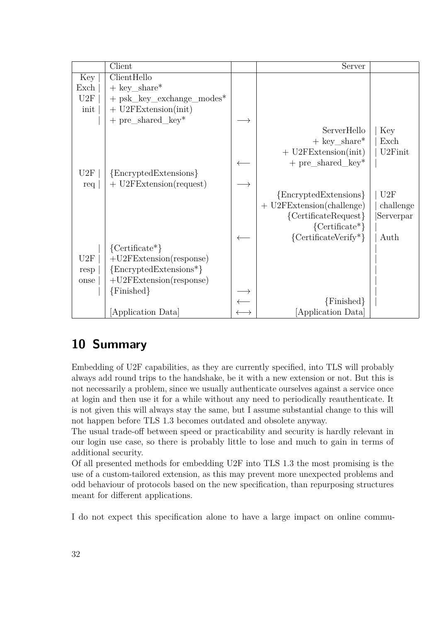|      | Client                      | Server                      |                      |
|------|-----------------------------|-----------------------------|----------------------|
| Key  | ClientHello                 |                             |                      |
| Exch | $+$ key_share <sup>*</sup>  |                             |                      |
| U2F  | $+$ psk_key_exchange_modes* |                             |                      |
| init | $+$ U2FExtension(init)      |                             |                      |
|      | $+$ pre_shared_key*         |                             |                      |
|      |                             | ServerHello                 | Key                  |
|      |                             | $+$ key_share*              | Exch                 |
|      |                             | $+$ U2FExtension(init)      | U <sub>2</sub> Finit |
|      |                             | $+$ pre_shared_key*         |                      |
| U2F  | {EncryptedExtensions}       |                             |                      |
| req  | $+$ U2FExtension(request)   |                             |                      |
|      |                             | ${Energyed Extensions}$     | U2F                  |
|      |                             | $+$ U2FExtension(challenge) | challenge            |
|      |                             | ${CertificateRequest}$      | Serverpar            |
|      |                             | ${\text{Certificance*}}$    |                      |
|      |                             | ${CertificateVerify*}$      | Auth                 |
|      | ${\text{Certificance*}}$    |                             |                      |
| U2F  | $+U2FExtension(response)$   |                             |                      |
| resp | ${Energyed Extensions*}$    |                             |                      |
| onse | $+U2FExtension(response)$   |                             |                      |
|      | {Finished}                  |                             |                      |
|      |                             | $\{Finished\}$              |                      |
|      | Application Data            | [Application Data]          |                      |

# <span id="page-31-0"></span>**10 Summary**

Embedding of U2F capabilities, as they are currently specified, into TLS will probably always add round trips to the handshake, be it with a new extension or not. But this is not necessarily a problem, since we usually authenticate ourselves against a service once at login and then use it for a while without any need to periodically reauthenticate. It is not given this will always stay the same, but I assume substantial change to this will not happen before TLS 1.3 becomes outdated and obsolete anyway.

The usual trade-off between speed or practicability and security is hardly relevant in our login use case, so there is probably little to lose and much to gain in terms of additional security.

Of all presented methods for embedding U2F into TLS 1.3 the most promising is the use of a custom-tailored extension, as this may prevent more unexpected problems and odd behaviour of protocols based on the new specification, than repurposing structures meant for different applications.

I do not expect this specification alone to have a large impact on online commu-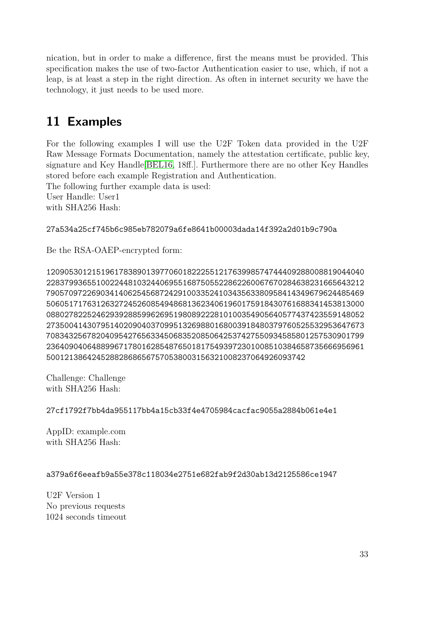nication, but in order to make a difference, first the means must be provided. This specification makes the use of two-factor Authentication easier to use, which, if not a leap, is at least a step in the right direction. As often in internet security we have the technology, it just needs to be used more.

# <span id="page-32-0"></span>**11 Examples**

For the following examples I will use the U2F Token data provided in the U2F Raw Message Formats Documentation, namely the attestation certificate, public key, signature and Key Handle[\[BEL16,](#page-45-2) 18ff.]. Furthermore there are no other Key Handles stored before each example Registration and Authentication.

The following further example data is used:

User Handle: User1 with SHA256 Hash:

27a534a25cf745b6c985eb782079a6fe8641b00003dada14f392a2d01b9c790a

Be the RSA-OAEP-encrypted form:

1209053012151961783890139770601822255121763998574744409288008819044040 2283799365510022448103244069551687505522862260067670284638231665643212 7905709722690341406254568724291003352410343563380958414349679624485469 5060517176312632724526085494868136234061960175918430761688341453813000 0880278225246293928859962695198089222810100354905640577437423559148052 2735004143079514020904037099513269880168003918480379760525532953647673 7083432567820409542765633450683520850642537427550934585801257530901799 2364090406488996717801628548765018175493972301008510384658735666956961 500121386424528828686567570538003156321008237064926093742

Challenge: Challenge with SHA256 Hash:

27cf1792f7bb4da955117bb4a15cb33f4e4705984cacfac9055a2884b061e4e1

AppID: example.com with SHA256 Hash:

#### a379a6f6eeafb9a55e378c118034e2751e682fab9f2d30ab13d2125586ce1947

U2F Version 1 No previous requests 1024 seconds timeout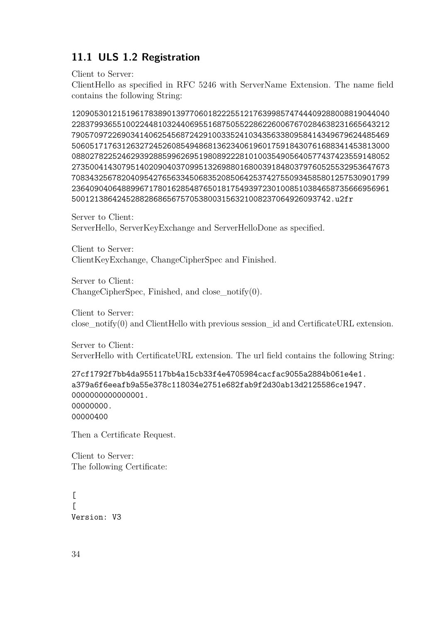### <span id="page-33-0"></span>**11.1 ULS 1.2 Registration**

Client to Server:

ClientHello as specified in RFC 5246 with ServerName Extension. The name field contains the following String:

1209053012151961783890139770601822255121763998574744409288008819044040 2283799365510022448103244069551687505522862260067670284638231665643212 7905709722690341406254568724291003352410343563380958414349679624485469 5060517176312632724526085494868136234061960175918430761688341453813000 0880278225246293928859962695198089222810100354905640577437423559148052 2735004143079514020904037099513269880168003918480379760525532953647673 7083432567820409542765633450683520850642537427550934585801257530901799 2364090406488996717801628548765018175493972301008510384658735666956961 500121386424528828686567570538003156321008237064926093742.u2fr

Server to Client: ServerHello, ServerKeyExchange and ServerHelloDone as specified.

Client to Server: ClientKeyExchange, ChangeCipherSpec and Finished.

Server to Client: ChangeCipherSpec, Finished, and close\_notify(0).

Client to Server: close\_notify(0) and ClientHello with previous session\_id and CertificateURL extension.

Server to Client: ServerHello with CertificateURL extension. The url field contains the following String:

27cf1792f7bb4da955117bb4a15cb33f4e4705984cacfac9055a2884b061e4e1. a379a6f6eeafb9a55e378c118034e2751e682fab9f2d30ab13d2125586ce1947. 0000000000000001. 00000000. 00000400

Then a Certificate Request.

Client to Server: The following Certificate:

 $\lceil$  $\Gamma$ Version: V3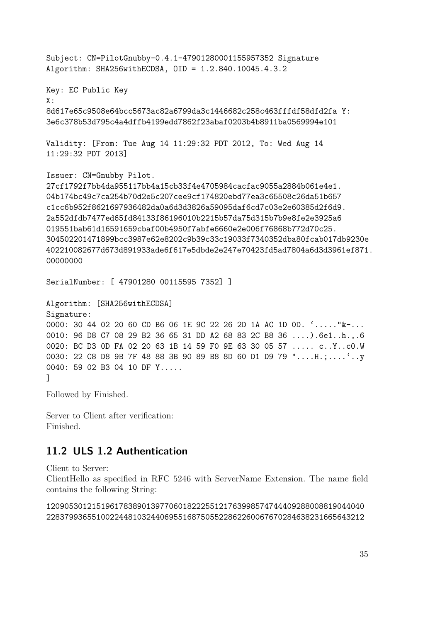Subject: CN=PilotGnubby-0.4.1-47901280001155957352 Signature Algorithm: SHA256withECDSA, OID = 1.2.840.10045.4.3.2 Key: EC Public Key X: 8d617e65c9508e64bcc5673ac82a6799da3c1446682c258c463fffdf58dfd2fa Y: 3e6c378b53d795c4a4dffb4199edd7862f23abaf0203b4b8911ba0569994e101 Validity: [From: Tue Aug 14 11:29:32 PDT 2012, To: Wed Aug 14 11:29:32 PDT 2013] Issuer: CN=Gnubby Pilot. 27cf1792f7bb4da955117bb4a15cb33f4e4705984cacfac9055a2884b061e4e1. 04b174bc49c7ca254b70d2e5c207cee9cf174820ebd77ea3c65508c26da51b657 c1cc6b952f8621697936482da0a6d3d3826a59095daf6cd7c03e2e60385d2f6d9. 2a552dfdb7477ed65fd84133f86196010b2215b57da75d315b7b9e8fe2e3925a6 019551bab61d16591659cbaf00b4950f7abfe6660e2e006f76868b772d70c25. 304502201471899bcc3987e62e8202c9b39c33c19033f7340352dba80fcab017db9230e 402210082677d673d891933ade6f617e5dbde2e247e70423fd5ad7804a6d3d3961ef871. 00000000 SerialNumber: [ 47901280 00115595 7352] ] Algorithm: [SHA256withECDSA] Signature:

0000: 30 44 02 20 60 CD B6 06 1E 9C 22 26 2D 1A AC 1D 0D. '....."&-... 0010: 96 D8 C7 08 29 B2 36 65 31 DD A2 68 83 2C B8 36 ....).6e1..h.,.6 0020: BC D3 0D FA 02 20 63 1B 14 59 F0 9E 63 30 05 57 ..... c..Y..c0.W 0030: 22 C8 D8 9B 7F 48 88 3B 90 89 B8 8D 60 D1 D9 79 "....H.;....'..y 0040: 59 02 B3 04 10 DF Y..... ]

Followed by Finished.

Server to Client after verification: Finished.

#### <span id="page-34-0"></span>**11.2 ULS 1.2 Authentication**

Client to Server:

ClientHello as specified in RFC 5246 with ServerName Extension. The name field contains the following String:

1209053012151961783890139770601822255121763998574744409288008819044040 2283799365510022448103244069551687505522862260067670284638231665643212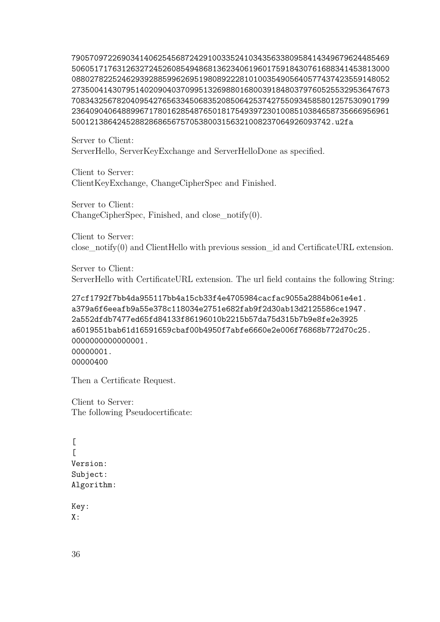7905709722690341406254568724291003352410343563380958414349679624485469 5060517176312632724526085494868136234061960175918430761688341453813000 0880278225246293928859962695198089222810100354905640577437423559148052 2735004143079514020904037099513269880168003918480379760525532953647673 7083432567820409542765633450683520850642537427550934585801257530901799 2364090406488996717801628548765018175493972301008510384658735666956961 500121386424528828686567570538003156321008237064926093742.u2fa

Server to Client: ServerHello, ServerKeyExchange and ServerHelloDone as specified.

Client to Server: ClientKeyExchange, ChangeCipherSpec and Finished.

Server to Client:  $ChangeCipherSpec, Finshed, and close-notify(0).$ 

Client to Server: close\_notify(0) and ClientHello with previous session\_id and CertificateURL extension.

Server to Client: ServerHello with CertificateURL extension. The url field contains the following String:

```
27cf1792f7bb4da955117bb4a15cb33f4e4705984cacfac9055a2884b061e4e1.
a379a6f6eeafb9a55e378c118034e2751e682fab9f2d30ab13d2125586ce1947.
2a552dfdb7477ed65fd84133f86196010b2215b57da75d315b7b9e8fe2e3925
a6019551bab61d16591659cbaf00b4950f7abfe6660e2e006f76868b772d70c25.
0000000000000001.
00000001.
00000400
```
Then a Certificate Request.

Client to Server: The following Pseudocertificate:

```
\Gamma\GammaVersion:
Subject:
Algorithm:
```
Key: X: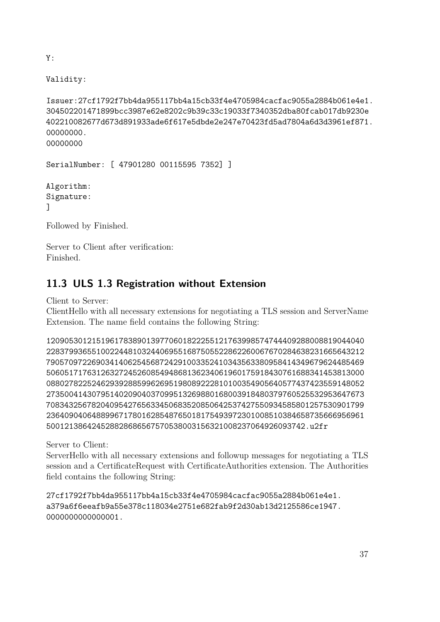Y:

Validity:

Issuer:27cf1792f7bb4da955117bb4a15cb33f4e4705984cacfac9055a2884b061e4e1. 304502201471899bcc3987e62e8202c9b39c33c19033f7340352dba80fcab017db9230e 402210082677d673d891933ade6f617e5dbde2e247e70423fd5ad7804a6d3d3961ef871. 00000000. 00000000

SerialNumber: [ 47901280 00115595 7352] ]

Algorithm: Signature: ]

Followed by Finished.

Server to Client after verification: Finished.

### <span id="page-36-0"></span>**11.3 ULS 1.3 Registration without Extension**

Client to Server:

ClientHello with all necessary extensions for negotiating a TLS session and ServerName Extension. The name field contains the following String:

```
1209053012151961783890139770601822255121763998574744409288008819044040
2283799365510022448103244069551687505522862260067670284638231665643212
7905709722690341406254568724291003352410343563380958414349679624485469
5060517176312632724526085494868136234061960175918430761688341453813000
0880278225246293928859962695198089222810100354905640577437423559148052
2735004143079514020904037099513269880168003918480379760525532953647673
7083432567820409542765633450683520850642537427550934585801257530901799
2364090406488996717801628548765018175493972301008510384658735666956961
500121386424528828686567570538003156321008237064926093742.u2fr
```
Server to Client:

ServerHello with all necessary extensions and followup messages for negotiating a TLS session and a CertificateRequest with CertificateAuthorities extension. The Authorities field contains the following String:

27cf1792f7bb4da955117bb4a15cb33f4e4705984cacfac9055a2884b061e4e1. a379a6f6eeafb9a55e378c118034e2751e682fab9f2d30ab13d2125586ce1947. 0000000000000001.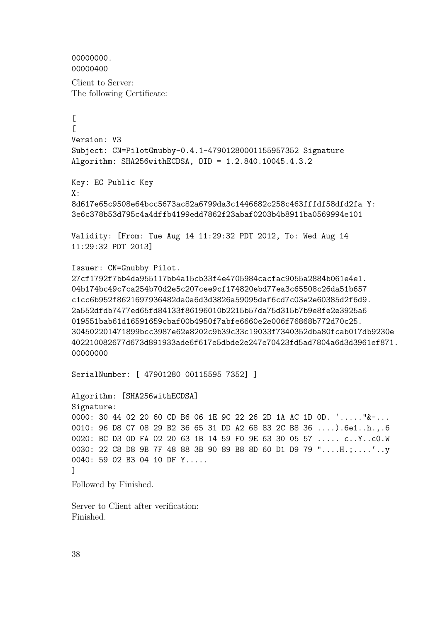```
00000000.
00000400
```
Client to Server: The following Certificate:

 $\Gamma$  $\Gamma$ Version: V3 Subject: CN=PilotGnubby-0.4.1-47901280001155957352 Signature Algorithm: SHA256withECDSA, OID = 1.2.840.10045.4.3.2 Key: EC Public Key X: 8d617e65c9508e64bcc5673ac82a6799da3c1446682c258c463fffdf58dfd2fa Y: 3e6c378b53d795c4a4dffb4199edd7862f23abaf0203b4b8911ba0569994e101 Validity: [From: Tue Aug 14 11:29:32 PDT 2012, To: Wed Aug 14 11:29:32 PDT 2013] Issuer: CN=Gnubby Pilot. 27cf1792f7bb4da955117bb4a15cb33f4e4705984cacfac9055a2884b061e4e1. 04b174bc49c7ca254b70d2e5c207cee9cf174820ebd77ea3c65508c26da51b657 c1cc6b952f8621697936482da0a6d3d3826a59095daf6cd7c03e2e60385d2f6d9. 2a552dfdb7477ed65fd84133f86196010b2215b57da75d315b7b9e8fe2e3925a6 019551bab61d16591659cbaf00b4950f7abfe6660e2e006f76868b772d70c25. 304502201471899bcc3987e62e8202c9b39c33c19033f7340352dba80fcab017db9230e 402210082677d673d891933ade6f617e5dbde2e247e70423fd5ad7804a6d3d3961ef871. 00000000 SerialNumber: [ 47901280 00115595 7352] ] Algorithm: [SHA256withECDSA] Signature: 0000: 30 44 02 20 60 CD B6 06 1E 9C 22 26 2D 1A AC 1D 0D. '....."&-... 0010: 96 D8 C7 08 29 B2 36 65 31 DD A2 68 83 2C B8 36 ....).6e1..h.,.6 0020: BC D3 0D FA 02 20 63 1B 14 59 F0 9E 63 30 05 57 ..... c..Y..c0.W 0030: 22 C8 D8 9B 7F 48 88 3B 90 89 B8 8D 60 D1 D9 79 "....H.;....'..y 0040: 59 02 B3 04 10 DF Y.....

]

Followed by Finished.

Server to Client after verification: Finished.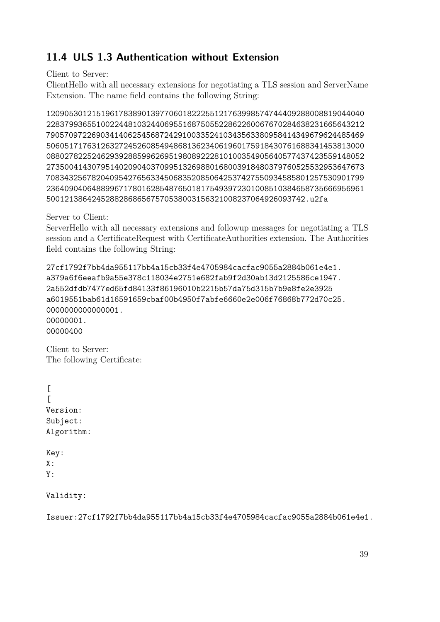### <span id="page-38-0"></span>**11.4 ULS 1.3 Authentication without Extension**

Client to Server:

ClientHello with all necessary extensions for negotiating a TLS session and ServerName Extension. The name field contains the following String:

1209053012151961783890139770601822255121763998574744409288008819044040 2283799365510022448103244069551687505522862260067670284638231665643212 7905709722690341406254568724291003352410343563380958414349679624485469 5060517176312632724526085494868136234061960175918430761688341453813000 0880278225246293928859962695198089222810100354905640577437423559148052 2735004143079514020904037099513269880168003918480379760525532953647673 7083432567820409542765633450683520850642537427550934585801257530901799 2364090406488996717801628548765018175493972301008510384658735666956961 500121386424528828686567570538003156321008237064926093742.u2fa

Server to Client:

ServerHello with all necessary extensions and followup messages for negotiating a TLS session and a CertificateRequest with CertificateAuthorities extension. The Authorities field contains the following String:

27cf1792f7bb4da955117bb4a15cb33f4e4705984cacfac9055a2884b061e4e1. a379a6f6eeafb9a55e378c118034e2751e682fab9f2d30ab13d2125586ce1947. 2a552dfdb7477ed65fd84133f86196010b2215b57da75d315b7b9e8fe2e3925 a6019551bab61d16591659cbaf00b4950f7abfe6660e2e006f76868b772d70c25. 0000000000000001. 00000001. 00000400

Client to Server: The following Certificate:

 $\Gamma$  $\Gamma$ Version: Subject: Algorithm:

Key:  $X:$ Y:

Validity:

Issuer:27cf1792f7bb4da955117bb4a15cb33f4e4705984cacfac9055a2884b061e4e1.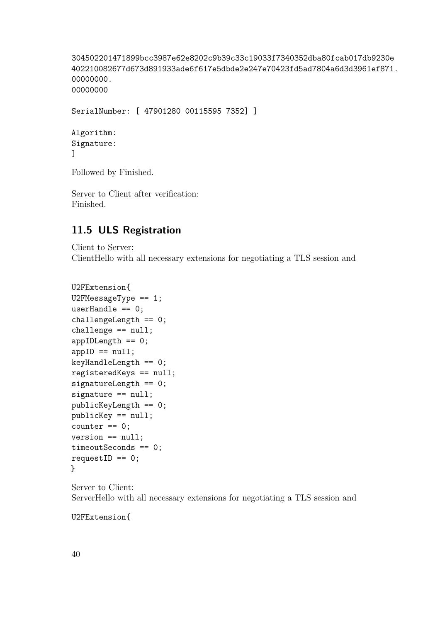```
304502201471899bcc3987e62e8202c9b39c33c19033f7340352dba80fcab017db9230e
402210082677d673d891933ade6f617e5dbde2e247e70423fd5ad7804a6d3d3961ef871.
00000000.
00000000
```
SerialNumber: [ 47901280 00115595 7352] ]

```
Algorithm:
Signature:
]
```
Followed by Finished.

Server to Client after verification: Finished.

#### <span id="page-39-0"></span>**11.5 ULS Registration**

Client to Server: ClientHello with all necessary extensions for negotiating a TLS session and

```
U2FExtension{
U2FMessageType == 1;
userHandle == 0;
challengeLength == 0;
challenge == null;
appIDLength == 0;
appID == null;keyHandleLength == 0;
registeredKeys == null;
signatureLength == 0;
signature == null;
publicKeyLength == 0;
publicKey == null;
counter == 0;version == null;
timeoutSeconds == 0;
requestID == 0;}
```
Server to Client: ServerHello with all necessary extensions for negotiating a TLS session and

U2FExtension{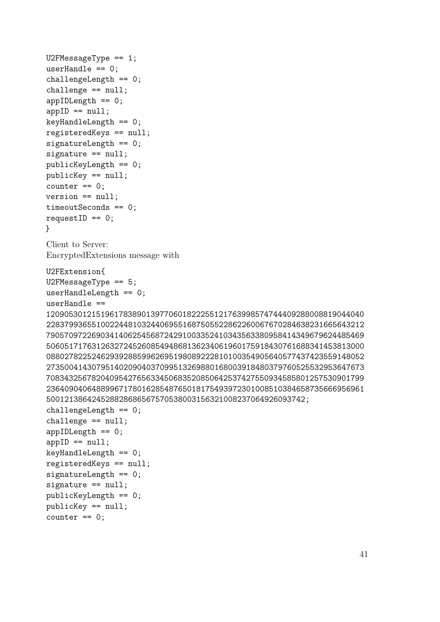```
U2FMessageType == 1;
userHandle == 0;
challengeLength == 0;
challenge == null;
appIDLength == 0;
appID == null;keyHandleLength == 0;
registeredKeys == null;
signatureLength == 0;
signature == null;
publicKeyLength == 0;
publicKey == null;
counter == 0;version == null;
timeoutSeconds == 0;
requestID == 0;}
Client to Server:
EncryptedExtensions message with
U2FExtension{
U2FMessageType == 5;
userHandleLength == 0;
userHandle ==
1209053012151961783890139770601822255121763998574744409288008819044040
2283799365510022448103244069551687505522862260067670284638231665643212
7905709722690341406254568724291003352410343563380958414349679624485469
5060517176312632724526085494868136234061960175918430761688341453813000
0880278225246293928859962695198089222810100354905640577437423559148052
2735004143079514020904037099513269880168003918480379760525532953647673
7083432567820409542765633450683520850642537427550934585801257530901799
2364090406488996717801628548765018175493972301008510384658735666956961
500121386424528828686567570538003156321008237064926093742;
challengeLength == 0;
challenge == null;
appIDLength == 0;appID == null;keyHandleLength == 0;
registeredKeys == null;
signatureLength == 0;
signature == null;
publicKeyLength == 0;
publicKey == null;
counter == 0;
```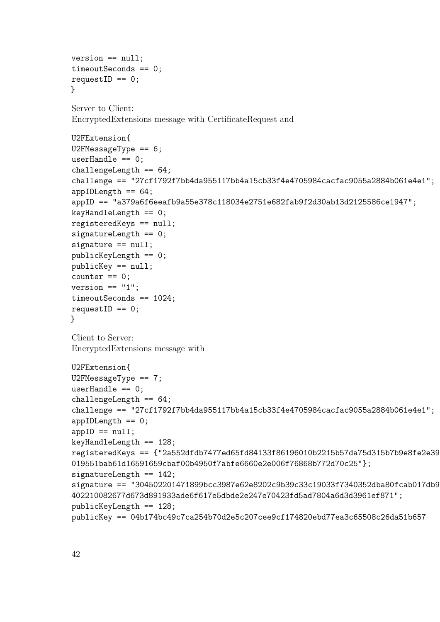```
version == null;
timeoutSeconds == 0;
requestID == 0;}
Server to Client:
EncryptedExtensions message with CertificateRequest and
U2FExtension{
U2FMessageType == 6;
userHandle == 0;
challengeLength == 64;
challenge == "27cf1792f7bb4da955117bb4a15cb33f4e4705984cacfac9055a2884b061e4e1";
appIDLength == 64;appID == "a379a6f6eeafb9a55e378c118034e2751e682fab9f2d30ab13d2125586ce1947";
keyHandleLength == 0;
registeredKeys == null;
signatureLength == 0;
signature == null;
publicKeyLength == 0;
publicKey == null;
counter == 0;version == "1";
timeoutSeconds == 1024;
requestID == 0;}
Client to Server:
EncryptedExtensions message with
U2FExtension{
U2FMessageType == 7;
userHandle == 0;challengeLength == 64;
challenge == "27cf1792f7bb4da955117bb4a15cb33f4e4705984cacfac9055a2884b061e4e1";
```

```
appIDLength == 0;
```

```
appID == null;keyHandleLength == 128;
```

```
registeredKeys = \{''2a552dfdb7477ed65fd84133f86196010b2215b57da75d315b7b9e8fe2e39019551bab61d16591659cbaf00b4950f7abfe6660e2e006f76868b772d70c25"};
signatureLength == 142;
```

```
signature == "304502201471899bcc3987e62e8202c9b39c33c19033f7340352dba80fcab017db9
402210082677d673d891933ade6f617e5dbde2e247e70423fd5ad7804a6d3d3961ef871";
publicKeyLength == 128;
publicKey == 04b174bc49c7ca254b70d2e5c207cee9cf174820ebd77ea3c65508c26da51b657
```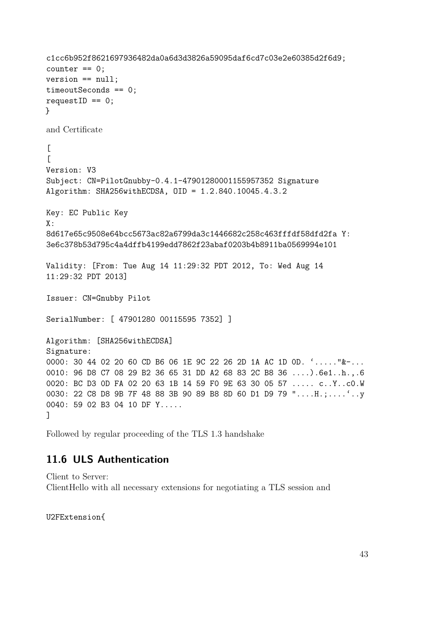```
c1cc6b952f8621697936482da0a6d3d3826a59095daf6cd7c03e2e60385d2f6d9;
counter == 0;version == null;
timeoutSeconds == 0;
requestID == 0;}
and Certificate
\Gamma\GammaVersion: V3
Subject: CN=PilotGnubby-0.4.1-47901280001155957352 Signature
Algorithm: SHA256withECDSA, OID = 1.2.840.10045.4.3.2
Key: EC Public Key
X:8d617e65c9508e64bcc5673ac82a6799da3c1446682c258c463fffdf58dfd2fa Y:
3e6c378b53d795c4a4dffb4199edd7862f23abaf0203b4b8911ba0569994e101
Validity: [From: Tue Aug 14 11:29:32 PDT 2012, To: Wed Aug 14
11:29:32 PDT 2013]
Issuer: CN=Gnubby Pilot
SerialNumber: [ 47901280 00115595 7352] ]
Algorithm: [SHA256withECDSA]
Signature:
0000: 30 44 02 20 60 CD B6 06 1E 9C 22 26 2D 1A AC 1D 0D. '....."&-...
0010: 96 D8 C7 08 29 B2 36 65 31 DD A2 68 83 2C B8 36 ....).6e1..h.,.6
0020: BC D3 0D FA 02 20 63 1B 14 59 F0 9E 63 30 05 57 ..... c..Y..c0.W
0030: 22 C8 D8 9B 7F 48 88 3B 90 89 B8 8D 60 D1 D9 79 "....H.;....'..y
0040: 59 02 B3 04 10 DF Y.....
]
```
Followed by regular proceeding of the TLS 1.3 handshake

#### <span id="page-42-0"></span>**11.6 ULS Authentication**

Client to Server: ClientHello with all necessary extensions for negotiating a TLS session and

U2FExtension{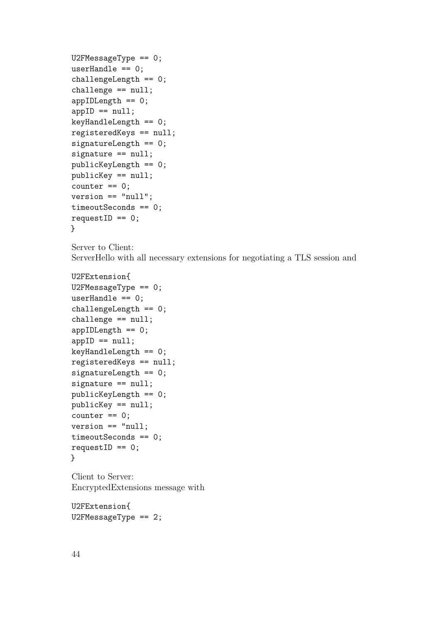```
U2FMessageType == 0;
userHandle == 0;challengeLength == 0;
challenge == null;
appIDLength == 0;
appID == null;keyHandleLength == 0;
registeredKeys == null;
signatureLength == 0;
signature == null;
publicKeyLength == 0;
publicKey == null;
counter == 0;version == "null";
timeoutSeconds == 0;
requestID == 0;}
```
Server to Client: ServerHello with all necessary extensions for negotiating a TLS session and

```
U2FExtension{
U2FMessageType == 0;
userHandle == 0;
challengeLength == 0;
challenge == null;
appIDLength == 0;appID == null;keyHandleLength == 0;
registeredKeys == null;
signatureLength == 0;
signature == null;
publicKeyLength == 0;
publicKey == null;
counter == 0;version == "null;
timeoutSeconds == 0;
requestID == 0;}
```
Client to Server: EncryptedExtensions message with

U2FExtension{ U2FMessageType == 2;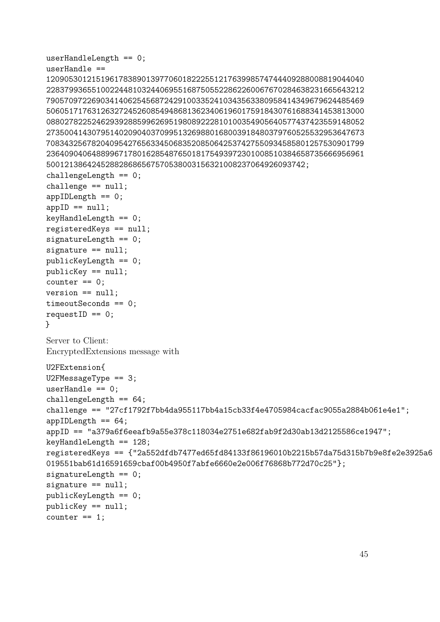```
userHandleLength == 0;
userHandle ==
1209053012151961783890139770601822255121763998574744409288008819044040
2283799365510022448103244069551687505522862260067670284638231665643212
7905709722690341406254568724291003352410343563380958414349679624485469
5060517176312632724526085494868136234061960175918430761688341453813000
0880278225246293928859962695198089222810100354905640577437423559148052
2735004143079514020904037099513269880168003918480379760525532953647673
7083432567820409542765633450683520850642537427550934585801257530901799
2364090406488996717801628548765018175493972301008510384658735666956961
500121386424528828686567570538003156321008237064926093742;
challengeLength == 0;
challenge == null;appIDLength == 0;appID == null;keyHandleLength == 0;
registeredKeys == null;
signatureLength == 0;
signature == null;publicKeyLength == 0;
publicKey == null;
counter == 0;version == null;
timeoutSeconds == 0;
requestID == 0;}
Server to Client:
EncryptedExtensions message with
U2FExtension{
U2FMessageType == 3;
userHandle == 0;
challengeLength == 64;
challenge == "27cf1792f7bb4da955117bb4a15cb33f4e4705984cacfac9055a2884b061e4e1";
appIDLength == 64;
appID == "a379a6f6eeafb9a55e378c118034e2751e682fab9f2d30ab13d2125586ce1947";
keyHandleLength == 128;
registeredKeys == {"2a552dfdb7477ed65fd84133f86196010b2215b57da75d315b7b9e8fe2e3925a6
019551bab61d16591659cbaf00b4950f7abfe6660e2e006f76868b772d70c25"};
signatureLength == 0;
signature == null;
publicKeyLength == 0;
publicKey == null;
counter == 1;
```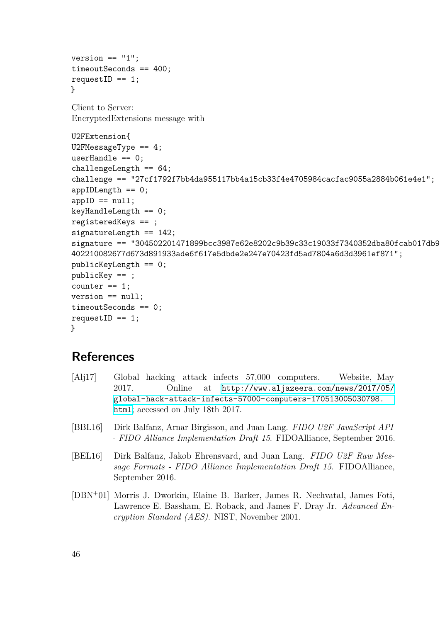```
version == "1";timeoutSeconds == 400;
requestID == 1;
}
Client to Server:
EncryptedExtensions message with
U2FExtension{
U2FMessageType == 4;
userHandle == 0;
challengeLength == 64;
challenge == "27cf1792f7bb4da955117bb4a15cb33f4e4705984cacfac9055a2884b061e4e1";
appIDLength == 0;
appID == null;keyHandleLength == 0;
registeredKeys == ;
signatureLength == 142;
signature == "304502201471899bcc3987e62e8202c9b39c33c19033f7340352dba80fcab017db9230e
402210082677d673d891933ade6f617e5dbde2e247e70423fd5ad7804a6d3d3961ef871";
publicKeyLength == 0;
publicKey == ;
counter == 1;version == null;
timeoutSeconds == 0;
requestID == 1;
}
```
### **References**

- <span id="page-45-0"></span>[Alj17] Global hacking attack infects 57,000 computers. Website, May 2017. Online at [http://www.aljazeera.com/news/2017/05/](http://www.aljazeera.com/news/2017/05/global-hack-attack-infects-57000-computers-170513005030798.html) [global-hack-attack-infects-57000-computers-170513005030798.](http://www.aljazeera.com/news/2017/05/global-hack-attack-infects-57000-computers-170513005030798.html) [html](http://www.aljazeera.com/news/2017/05/global-hack-attack-infects-57000-computers-170513005030798.html); accessed on July 18th 2017.
- <span id="page-45-3"></span>[BBL16] Dirk Balfanz, Arnar Birgisson, and Juan Lang. *FIDO U2F JavaScript API - FIDO Alliance Implementation Draft 15*. FIDOAlliance, September 2016.
- <span id="page-45-2"></span>[BEL16] Dirk Balfanz, Jakob Ehrensvard, and Juan Lang. *FIDO U2F Raw Message Formats - FIDO Alliance Implementation Draft 15*. FIDOAlliance, September 2016.
- <span id="page-45-1"></span>[DBN<sup>+</sup>01] Morris J. Dworkin, Elaine B. Barker, James R. Nechvatal, James Foti, Lawrence E. Bassham, E. Roback, and James F. Dray Jr. *Advanced Encryption Standard (AES)*. NIST, November 2001.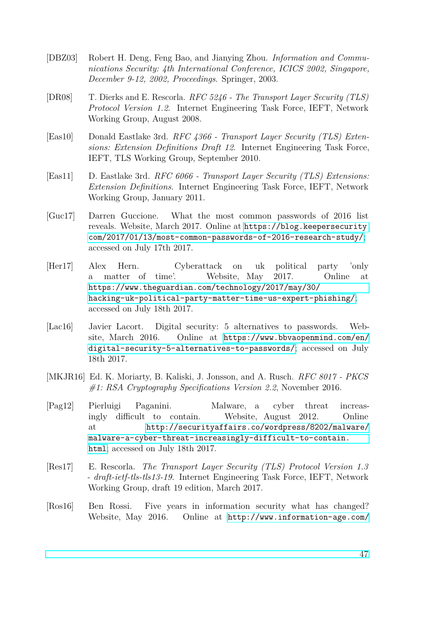- <span id="page-46-4"></span>[DBZ03] Robert H. Deng, Feng Bao, and Jianying Zhou. *Information and Communications Security: 4th International Conference, ICICS 2002, Singapore, December 9-12, 2002, Proceedings*. Springer, 2003.
- <span id="page-46-7"></span>[DR08] T. Dierks and E. Rescorla. *RFC 5246 - The Transport Layer Security (TLS) Protocol Version 1.2*. Internet Engineering Task Force, IEFT, Network Working Group, August 2008.
- <span id="page-46-9"></span>[Eas10] Donald Eastlake 3rd. *RFC 4366 - Transport Layer Security (TLS) Extensions: Extension Definitions Draft 12*. Internet Engineering Task Force, IEFT, TLS Working Group, September 2010.
- <span id="page-46-8"></span>[Eas11] D. Eastlake 3rd. *RFC 6066 - Transport Layer Security (TLS) Extensions: Extension Definitions*. Internet Engineering Task Force, IEFT, Network Working Group, January 2011.
- <span id="page-46-5"></span>[Guc17] Darren Guccione. What the most common passwords of 2016 list reveals. Website, March 2017. Online at [https://blog.keepersecurity.](https://blog.keepersecurity.com/2017/01/13/most-common-passwords-of-2016-research-study/) [com/2017/01/13/most-common-passwords-of-2016-research-study/](https://blog.keepersecurity.com/2017/01/13/most-common-passwords-of-2016-research-study/); accessed on July 17th 2017.
- <span id="page-46-0"></span>[Her17] Alex Hern. Cyberattack on uk political party 'only a matter of time'. Website, May 2017. Online at [https://www.theguardian.com/technology/2017/may/30/](https://www.theguardian.com/technology/2017/may/30/hacking-uk-political-party-matter-time-us-expert-phishing/) [hacking-uk-political-party-matter-time-us-expert-phishing/](https://www.theguardian.com/technology/2017/may/30/hacking-uk-political-party-matter-time-us-expert-phishing/); accessed on July 18th 2017.
- <span id="page-46-6"></span>[Lac16] Javier Lacort. Digital security: 5 alternatives to passwords. Website, March 2016. Online at [https://www.bbvaopenmind.com/en/](https://www.bbvaopenmind.com/en/digital-security-5-alternatives-to-passwords/) [digital-security-5-alternatives-to-passwords/](https://www.bbvaopenmind.com/en/digital-security-5-alternatives-to-passwords/); accessed on July 18th 2017.
- <span id="page-46-3"></span>[MKJR16] Ed. K. Moriarty, B. Kaliski, J. Jonsson, and A. Rusch. *RFC 8017 - PKCS #1: RSA Cryptography Specifications Version 2.2*, November 2016.
- <span id="page-46-1"></span>[Pag12] Pierluigi Paganini. Malware, a cyber threat increasingly difficult to contain. Website, August 2012. Online at [http://securityaffairs.co/wordpress/8202/malware/](http://securityaffairs.co/wordpress/8202/malware/malware-a-cyber-threat-increasingly-difficult-to-contain.html) [malware-a-cyber-threat-increasingly-difficult-to-contain.](http://securityaffairs.co/wordpress/8202/malware/malware-a-cyber-threat-increasingly-difficult-to-contain.html) [html](http://securityaffairs.co/wordpress/8202/malware/malware-a-cyber-threat-increasingly-difficult-to-contain.html); accessed on July 18th 2017.
- <span id="page-46-10"></span>[Res17] E. Rescorla. *The Transport Layer Security (TLS) Protocol Version 1.3 - draft-ietf-tls-tls13-19*. Internet Engineering Task Force, IEFT, Network Working Group, draft 19 edition, March 2017.
- <span id="page-46-2"></span>[Ros16] Ben Rossi. Five years in information security what has changed? Website, May 2016. Online at [http://www.information-age.com/](http://www.information-age.com/five-years-information-security-what-has-changed-123461477/)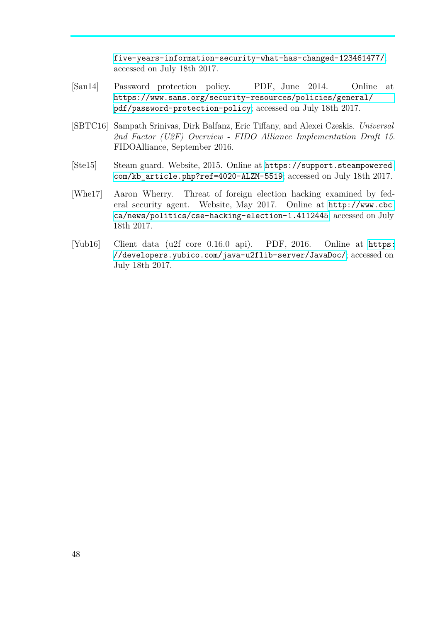[five-years-information-security-what-has-changed-123461477/](http://www.information-age.com/five-years-information-security-what-has-changed-123461477/); accessed on July 18th 2017.

- <span id="page-47-3"></span>[San14] Password protection policy. PDF, June 2014. Online at [https://www.sans.org/security-resources/policies/general/](https://www.sans.org/security-resources/policies/general/pdf/password-protection-policy) [pdf/password-protection-policy](https://www.sans.org/security-resources/policies/general/pdf/password-protection-policy); accessed on July 18th 2017.
- <span id="page-47-2"></span>[SBTC16] Sampath Srinivas, Dirk Balfanz, Eric Tiffany, and Alexei Czeskis. *Universal 2nd Factor (U2F) Overview - FIDO Alliance Implementation Draft 15*. FIDOAlliance, September 2016.
- <span id="page-47-1"></span>[Ste15] Steam guard. Website, 2015. Online at [https://support.steampowered.](https://support.steampowered.com/kb_article.php?ref=4020-ALZM-5519) [com/kb\\_article.php?ref=4020-ALZM-5519](https://support.steampowered.com/kb_article.php?ref=4020-ALZM-5519); accessed on July 18th 2017.
- <span id="page-47-0"></span>[Whe17] Aaron Wherry. Threat of foreign election hacking examined by federal security agent. Website, May 2017. Online at [http://www.cbc.](http://www.cbc.ca/news/politics/cse-hacking-election-1.4112445) [ca/news/politics/cse-hacking-election-1.4112445](http://www.cbc.ca/news/politics/cse-hacking-election-1.4112445); accessed on July 18th 2017.
- <span id="page-47-4"></span>[Yub16] Client data (u2f core 0.16.0 api). PDF, 2016. Online at [https:](https://developers.yubico.com/java-u2flib-server/JavaDoc/) [//developers.yubico.com/java-u2flib-server/JavaDoc/](https://developers.yubico.com/java-u2flib-server/JavaDoc/); accessed on July 18th 2017.